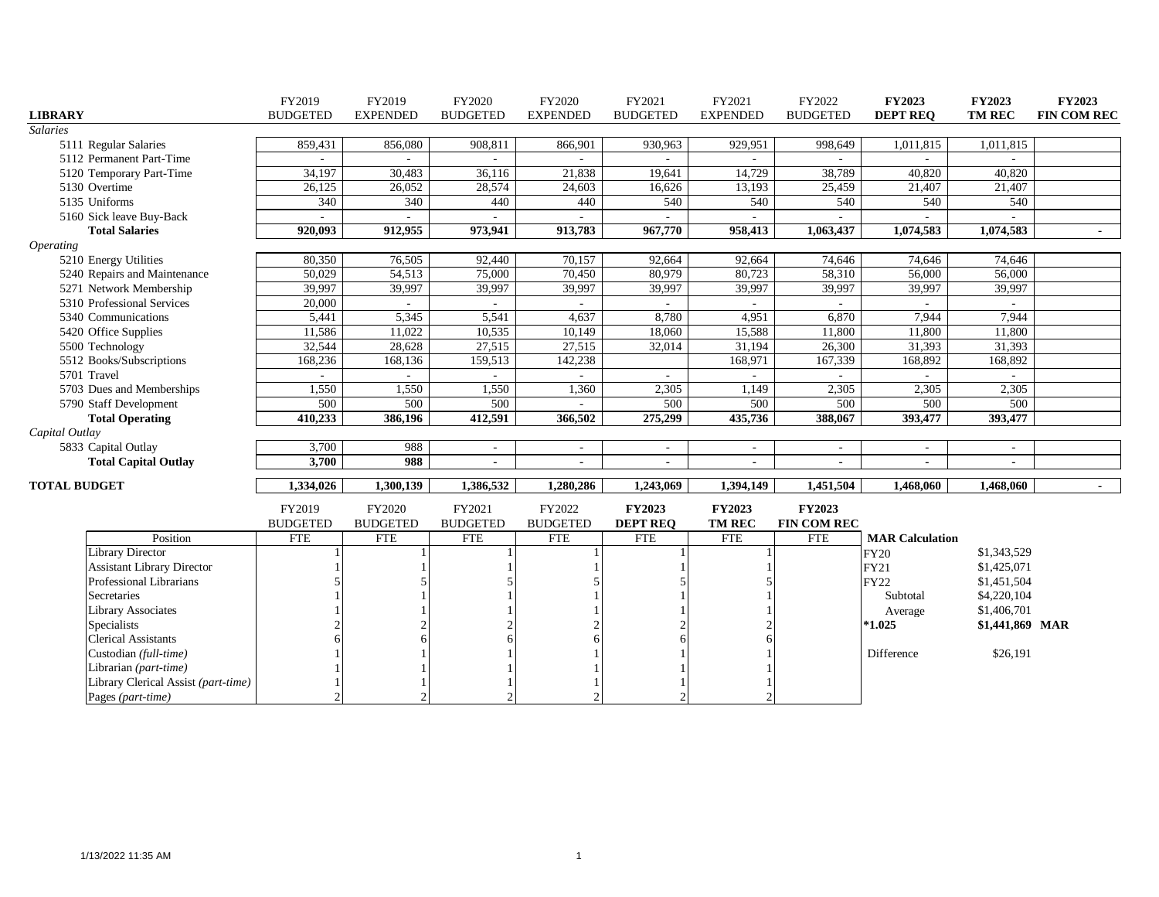|                                     | FY2019          | FY2019          | FY2020                   | FY2020                   | FY2021          | FY2021                   | FY2022                   | <b>FY2023</b>            | <b>FY2023</b>   | <b>FY2023</b>  |
|-------------------------------------|-----------------|-----------------|--------------------------|--------------------------|-----------------|--------------------------|--------------------------|--------------------------|-----------------|----------------|
| <b>LIBRARY</b>                      | <b>BUDGETED</b> | <b>EXPENDED</b> | <b>BUDGETED</b>          | <b>EXPENDED</b>          | <b>BUDGETED</b> | <b>EXPENDED</b>          | <b>BUDGETED</b>          | <b>DEPT REQ</b>          | TM REC          | FIN COM REC    |
| <b>Salaries</b>                     |                 |                 |                          |                          |                 |                          |                          |                          |                 |                |
| 5111 Regular Salaries               | 859,431         | 856,080         | 908,811                  | 866,901                  | 930,963         | 929,951                  | 998,649                  | 1,011,815                | 1,011,815       |                |
| 5112 Permanent Part-Time            |                 |                 |                          |                          |                 |                          |                          |                          |                 |                |
| 5120 Temporary Part-Time            | 34,197          | 30,483          | 36,116                   | 21,838                   | 19,641          | 14,729                   | 38,789                   | 40,820                   | 40,820          |                |
| 5130 Overtime                       | 26,125          | 26,052          | 28,574                   | 24,603                   | 16,626          | 13,193                   | 25,459                   | 21,407                   | 21,407          |                |
| 5135 Uniforms                       | 340             | 340             | 440                      | 440                      | 540             | 540                      | 540                      | 540                      | 540             |                |
| 5160 Sick leave Buy-Back            |                 |                 |                          |                          |                 |                          |                          |                          |                 |                |
| <b>Total Salaries</b>               | 920,093         | 912,955         | 973,941                  | 913,783                  | 967,770         | 958,413                  | 1,063,437                | 1,074,583                | 1,074,583       | $\sim$         |
| Operating                           |                 |                 |                          |                          |                 |                          |                          |                          |                 |                |
| 5210 Energy Utilities               | 80,350          | 76,505          | 92,440                   | 70,157                   | 92,664          | 92,664                   | 74,646                   | 74,646                   | 74,646          |                |
| 5240 Repairs and Maintenance        | 50.029          | 54,513          | 75,000                   | 70,450                   | 80.979          | 80,723                   | 58,310                   | 56,000                   | 56,000          |                |
| 5271 Network Membership             | 39,997          | 39,997          | 39,997                   | 39,997                   | 39,997          | 39,997                   | 39,997                   | 39,997                   | 39,997          |                |
| 5310 Professional Services          | 20,000          | $\sim$          | $\sim$                   | $\sim$                   |                 | $\sim$                   | $\sim$                   |                          | $\sim$          |                |
| 5340 Communications                 | 5,441           | 5,345           | 5,541                    | 4,637                    | 8,780           | 4,951                    | 6,870                    | 7,944                    | 7,944           |                |
| 5420 Office Supplies                | 11,586          | 11,022          | 10,535                   | 10,149                   | 18,060          | 15,588                   | 11,800                   | 11,800                   | 11,800          |                |
| 5500 Technology                     | 32,544          | 28,628          | 27,515                   | 27,515                   | 32,014          | 31,194                   | 26,300                   | 31,393                   | 31,393          |                |
| 5512 Books/Subscriptions            | 168,236         | 168,136         | 159,513                  | 142,238                  |                 | 168,971                  | 167,339                  | 168,892                  | 168,892         |                |
| 5701 Travel                         |                 |                 |                          |                          |                 | $\sim$                   |                          |                          |                 |                |
| 5703 Dues and Memberships           | 1,550           | 1,550           | 1,550                    | 1,360                    | 2,305           | 1,149                    | 2,305                    | 2,305                    | 2,305           |                |
| 5790 Staff Development              | 500             | 500             | 500                      | $\sim$                   | 500             | 500                      | 500                      | 500                      | 500             |                |
| <b>Total Operating</b>              | 410,233         | 386,196         | 412,591                  | 366,502                  | 275,299         | 435,736                  | 388,067                  | 393,477                  | 393,477         |                |
| Capital Outlay                      |                 |                 |                          |                          |                 |                          |                          |                          |                 |                |
| 5833 Capital Outlay                 | 3,700           | 988             | $\overline{\phantom{a}}$ |                          |                 | $\overline{\phantom{a}}$ | $\sim$                   | $\overline{\phantom{a}}$ |                 |                |
| <b>Total Capital Outlay</b>         | 3,700           | 988             | $\blacksquare$           | $\overline{\phantom{a}}$ | $\blacksquare$  | $\blacksquare$           | $\overline{\phantom{0}}$ | $\blacksquare$           |                 |                |
| <b>TOTAL BUDGET</b>                 | 1,334,026       | 1,300,139       | 1,386,532                | 1,280,286                | 1,243,069       | 1,394,149                | 1,451,504                | 1,468,060                | 1,468,060       | $\blacksquare$ |
|                                     | FY2019          | FY2020          | FY2021                   | FY2022                   | <b>FY2023</b>   | <b>FY2023</b>            | <b>FY2023</b>            |                          |                 |                |
|                                     | <b>BUDGETED</b> | <b>BUDGETED</b> | <b>BUDGETED</b>          | <b>BUDGETED</b>          | <b>DEPT REO</b> | <b>TM REC</b>            | <b>FIN COM REC</b>       |                          |                 |                |
| Position                            | <b>FTE</b>      | <b>FTE</b>      | <b>FTE</b>               | <b>FTE</b>               | <b>FTE</b>      | <b>FTE</b>               | <b>FTE</b>               | <b>MAR Calculation</b>   |                 |                |
| <b>Library Director</b>             |                 |                 |                          |                          |                 |                          |                          | <b>FY20</b>              | \$1,343,529     |                |
| <b>Assistant Library Director</b>   |                 |                 |                          |                          |                 |                          |                          | FY21                     | \$1,425,071     |                |
| Professional Librarians             |                 |                 |                          |                          |                 |                          |                          | <b>FY22</b>              | \$1,451,504     |                |
| Secretaries                         |                 |                 |                          |                          |                 |                          |                          | Subtotal                 | \$4,220,104     |                |
| <b>Library Associates</b>           |                 |                 |                          |                          |                 |                          |                          | Average                  | \$1,406,701     |                |
| Specialists                         |                 |                 |                          |                          |                 |                          |                          | $*1.025$                 | \$1,441,869 MAR |                |
| <b>Clerical Assistants</b>          |                 |                 |                          |                          |                 |                          |                          |                          |                 |                |
| Custodian (full-time)               |                 |                 |                          |                          |                 |                          |                          | Difference               | \$26,191        |                |
| Librarian (part-time)               |                 |                 |                          |                          |                 |                          |                          |                          |                 |                |
| Library Clerical Assist (part-time) |                 |                 |                          |                          |                 |                          |                          |                          |                 |                |
| Pages (part-time)                   | $\mathfrak{D}$  | $\mathfrak{D}$  | $\mathcal{D}$            | C                        |                 |                          |                          |                          |                 |                |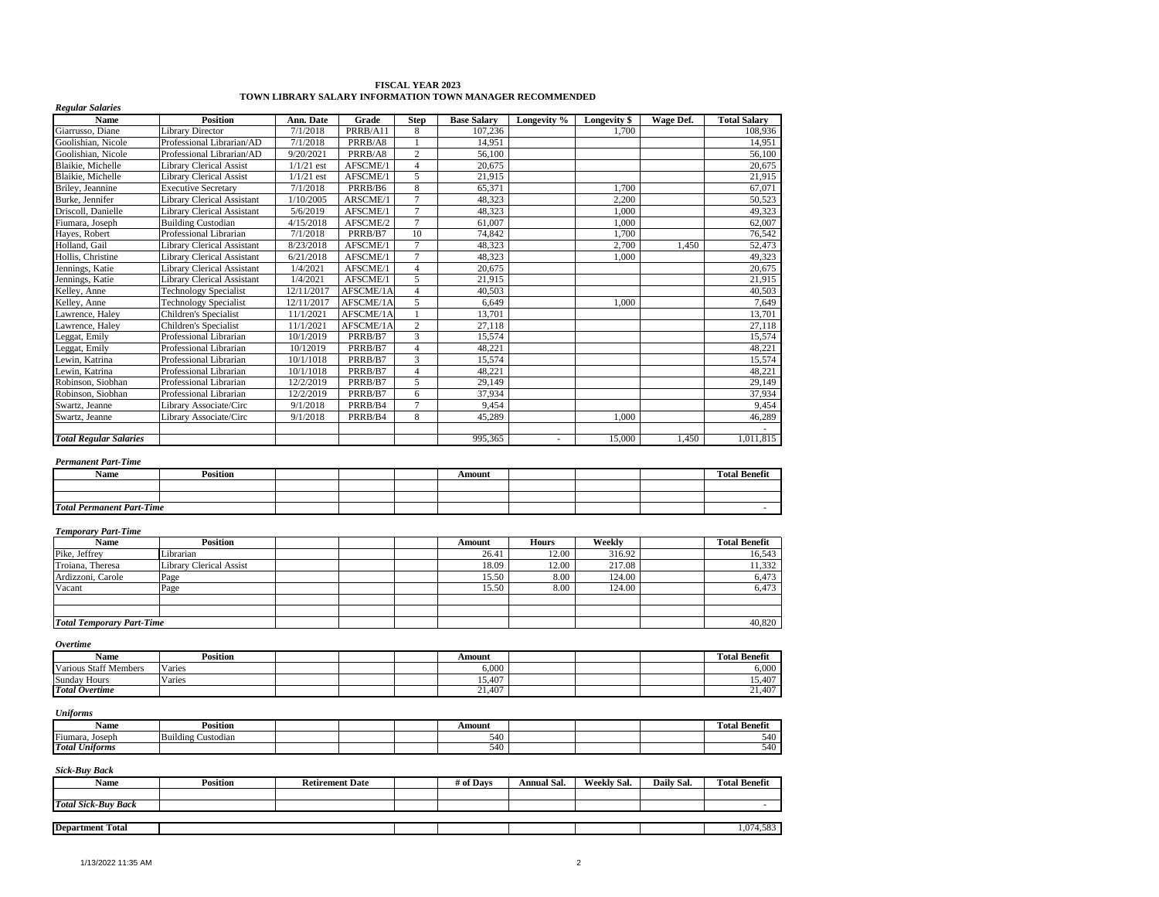| Name                             | <b>Position</b>                   | Ann. Date    | Grade     | <b>Step</b>    | <b>Base Salary</b> | Longevity %  | Longevity \$ | Wage Def. | <b>Total Salary</b>  |
|----------------------------------|-----------------------------------|--------------|-----------|----------------|--------------------|--------------|--------------|-----------|----------------------|
| Giarrusso, Diane                 | <b>Library Director</b>           | 7/1/2018     | PRRB/A11  | 8              | 107,236            |              | 1.700        |           | 108,936              |
| Goolishian, Nicole               | Professional Librarian/AD         | 7/1/2018     | PRRB/A8   |                | 14,951             |              |              |           | 14,951               |
| Goolishian, Nicole               | Professional Librarian/AD         | 9/20/2021    | PRRB/A8   | $\overline{2}$ | 56,100             |              |              |           | 56,100               |
| Blaikie, Michelle                | <b>Library Clerical Assist</b>    | $1/1/21$ est | AFSCME/1  | $\overline{4}$ | 20,675             |              |              |           | 20,675               |
| Blaikie, Michelle                | <b>Library Clerical Assist</b>    | $1/1/21$ est | AFSCME/1  | 5              | 21,915             |              |              |           | 21,915               |
| Briley, Jeannine                 | <b>Executive Secretary</b>        | 7/1/2018     | PRRB/B6   | 8              | 65,371             |              | 1,700        |           | 67,071               |
| Burke, Jennifer                  | <b>Library Clerical Assistant</b> | 1/10/2005    | ARSCME/1  | $\overline{7}$ | 48,323             |              | 2,200        |           | 50,523               |
| Driscoll, Danielle               | <b>Library Clerical Assistant</b> | 5/6/2019     | AFSCME/1  | $\overline{7}$ | 48,323             |              | 1,000        |           | 49.323               |
| Fiumara, Joseph                  | <b>Building Custodian</b>         | 4/15/2018    | AFSCME/2  | $\overline{7}$ | 61,007             |              | 1,000        |           | 62,007               |
| Hayes, Robert                    | Professional Librarian            | 7/1/2018     | PRRB/B7   | 10             | 74,842             |              | 1.700        |           | 76,542               |
| Holland, Gail                    | <b>Library Clerical Assistant</b> | 8/23/2018    | AFSCME/1  | $\overline{7}$ | 48,323             |              | 2,700        | 1,450     | 52,473               |
| Hollis, Christine                | <b>Library Clerical Assistant</b> | 6/21/2018    | AFSCME/1  | $\overline{7}$ | 48,323             |              | 1.000        |           | 49,323               |
| Jennings, Katie                  | <b>Library Clerical Assistant</b> | 1/4/2021     | AFSCME/1  | $\overline{4}$ | 20.675             |              |              |           | 20,675               |
| Jennings, Katie                  | <b>Library Clerical Assistant</b> | 1/4/2021     | AFSCME/1  | 5              | 21,915             |              |              |           | 21,915               |
| Kelley, Anne                     | <b>Technology Specialist</b>      | 12/11/2017   | AFSCME/1A | $\overline{4}$ | 40,503             |              |              |           | 40,503               |
| Kelley, Anne                     | Technology Specialist             | 12/11/2017   | AFSCME/1A | 5              | 6,649              |              | 1.000        |           | 7,649                |
| Lawrence, Haley                  | Children's Specialist             | 11/1/2021    | AFSCME/1A | $\overline{1}$ | 13,701             |              |              |           | 13,701               |
| Lawrence, Haley                  | Children's Specialist             | 11/1/2021    | AFSCME/1A | $\sqrt{2}$     | 27,118             |              |              |           | 27,118               |
| Leggat, Emily                    | Professional Librarian            | 10/1/2019    | PRRB/B7   | 3              | 15,574             |              |              |           | 15,574               |
| Leggat, Emily                    | Professional Librarian            | 10/12019     | PRRB/B7   | $\overline{4}$ | 48,221             |              |              |           | 48,221               |
| Lewin, Katrina                   | Professional Librarian            | 10/1/1018    | PRRB/B7   | 3              | 15,574             |              |              |           | 15,574               |
| Lewin, Katrina                   | Professional Librarian            | 10/1/1018    | PRRB/B7   | $\overline{4}$ | 48,221             |              |              |           | 48,221               |
| Robinson, Siobhan                | Professional Librarian            | 12/2/2019    | PRRB/B7   | 5              | 29,149             |              |              |           | 29,149               |
| Robinson, Siobhan                | Professional Librarian            | 12/2/2019    | PRRB/B7   | 6              | 37,934             |              |              |           | 37,934               |
| Swartz, Jeanne                   | Library Associate/Circ            | 9/1/2018     | PRRB/B4   | $\overline{7}$ | 9,454              |              |              |           | 9,454                |
| Swartz, Jeanne                   | Library Associate/Circ            | 9/1/2018     | PRRB/B4   | 8              | 45,289             |              | 1.000        |           | 46,289               |
| <b>Total Regular Salaries</b>    |                                   |              |           |                | 995.365            | ٠            | 15,000       | 1.450     | 1.011.815            |
| <b>Permanent Part-Time</b>       |                                   |              |           |                |                    |              |              |           |                      |
| Name                             | <b>Position</b>                   |              |           |                | Amount             |              |              |           | <b>Total Benefit</b> |
|                                  |                                   |              |           |                |                    |              |              |           |                      |
| <b>Total Permanent Part-Time</b> |                                   |              |           |                |                    |              |              |           |                      |
| <b>Temporary Part-Time</b>       |                                   |              |           |                |                    |              |              |           |                      |
| Name                             | <b>Position</b>                   |              |           |                | Amount             | <b>Hours</b> | Weekly       |           | <b>Total Benefit</b> |
| $x$ $ec$                         | $\mathbf{v}$ .                    |              |           |                | 2.11               | 1000         | 21.502       |           |                      |

# **FISCAL YEAR 2023 TOWN LIBRARY SALARY INFORMATION TOWN MANAGER RECOMMENDED**

| <b>Temporary Part-Time</b>       |                         |  |        |              |        |                      |
|----------------------------------|-------------------------|--|--------|--------------|--------|----------------------|
| <b>Name</b>                      | <b>Position</b>         |  | Amount | <b>Hours</b> | Weekly | <b>Total Benefit</b> |
| Pike, Jeffrey                    | Librarian               |  | 26.41  | 12.00        | 316.92 | 16,543               |
| Troiana, Theresa                 | Library Clerical Assist |  | 18.09  | 12.00        | 217.08 | 11,332               |
| Ardizzoni, Carole                | Page                    |  | 15.50  | 8.00         | 124.00 | 6,473                |
| Vacant                           | Page                    |  | 15.50  | 8.00         | 124.00 | 6,473                |
|                                  |                         |  |        |              |        |                      |
|                                  |                         |  |        |              |        |                      |
| <b>Total Temporary Part-Time</b> |                         |  |        |              |        | 40,820               |

*Overtime*

| . .<br>Name                  | Position |  | Amount |  | m<br><b>Total Benefit</b>       |
|------------------------------|----------|--|--------|--|---------------------------------|
| <b>Various Staff Members</b> | Varies   |  | 6.000  |  | $\epsilon$ ooc<br><b>b</b> ,000 |
| Sunday<br>' Hours            | Varies   |  | 15,407 |  | 1.5.407<br>15,40                |
| <b>Total Overtime</b>        |          |  | 21,407 |  | 21,407                          |

#### *Uniforms*

| Name                  | Position                     |  | Amount         |  | <b>CONTRACTOR</b><br><b>COM</b><br>Fotal Benefit |
|-----------------------|------------------------------|--|----------------|--|--------------------------------------------------|
| Fiumara.<br>Joseph    | .<br>Building C<br>Custodian |  | $-40$<br>740   |  |                                                  |
| <b>Total Uniforms</b> |                              |  | $\sim$<br>٬۱+۰ |  |                                                  |

| <b>Name</b>                | Position | <b>Retirement Date</b> | # of Davs | <b>Annual Sal.</b> | Weekly Sal. | Daily Sal. | <b>Total Benefit</b> |
|----------------------------|----------|------------------------|-----------|--------------------|-------------|------------|----------------------|
|                            |          |                        |           |                    |             |            |                      |
| <b>Total Sick-Buy Back</b> |          |                        |           |                    |             |            |                      |
|                            |          |                        |           |                    |             |            |                      |
| <b>Department Total</b>    |          |                        |           |                    |             |            | $\epsilon$           |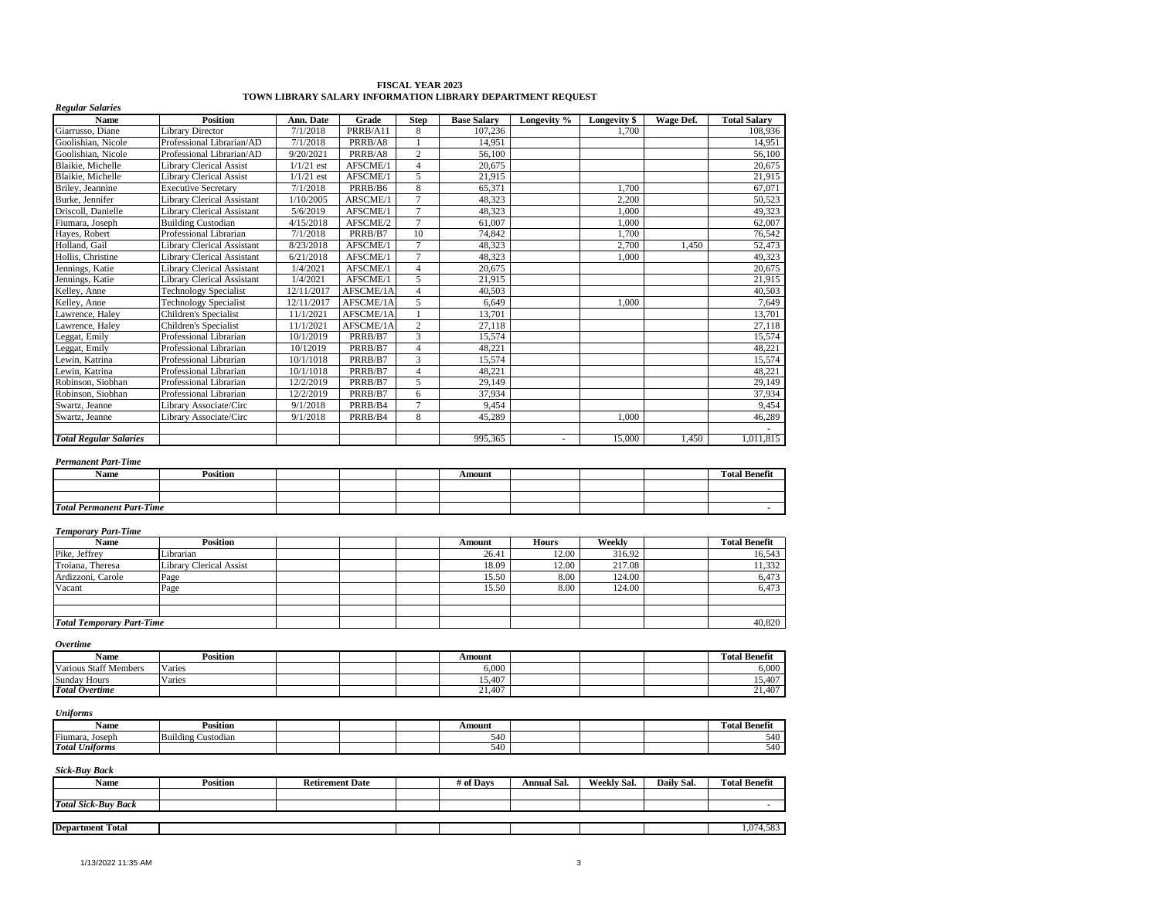| <b>Name</b>                      | <b>Position</b>                   | Ann. Date    | Grade     | <b>Step</b>    | <b>Base Salary</b> | Longevity %  | Longevity \$ | Wage Def. | <b>Total Salary</b>  |
|----------------------------------|-----------------------------------|--------------|-----------|----------------|--------------------|--------------|--------------|-----------|----------------------|
| Giarrusso, Diane                 | <b>Library Director</b>           | 7/1/2018     | PRRB/A11  | 8              | 107,236            |              | 1,700        |           | 108,936              |
| Goolishian, Nicole               | Professional Librarian/AD         | 7/1/2018     | PRRB/A8   | $\mathbf{1}$   | 14,951             |              |              |           | 14,951               |
| Goolishian, Nicole               | Professional Librarian/AD         | 9/20/2021    | PRRB/A8   | $\overline{c}$ | 56,100             |              |              |           | 56,100               |
| Blaikie, Michelle                | <b>Library Clerical Assist</b>    | $1/1/21$ est | AFSCME/1  | $\overline{4}$ | 20,675             |              |              |           | 20,675               |
| Blaikie, Michelle                | <b>Library Clerical Assist</b>    | $1/1/21$ est | AFSCME/1  | 5              | 21,915             |              |              |           | 21,915               |
| Briley, Jeannine                 | <b>Executive Secretary</b>        | 7/1/2018     | PRRB/B6   | 8              | 65,371             |              | 1,700        |           | 67,071               |
| Burke, Jennifer                  | <b>Library Clerical Assistant</b> | 1/10/2005    | ARSCME/1  | $\overline{7}$ | 48,323             |              | 2,200        |           | 50,523               |
| Driscoll, Danielle               | <b>Library Clerical Assistant</b> | 5/6/2019     | AFSCME/1  | $\overline{7}$ | 48,323             |              | 1,000        |           | 49,323               |
| Fiumara, Joseph                  | <b>Building Custodian</b>         | 4/15/2018    | AFSCME/2  | $\overline{7}$ | 61,007             |              | 1,000        |           | 62,007               |
| Hayes, Robert                    | Professional Librarian            | 7/1/2018     | PRRB/B7   | 10             | 74,842             |              | 1,700        |           | 76,542               |
| Holland, Gail                    | <b>Library Clerical Assistant</b> | 8/23/2018    | AFSCME/1  | $\overline{7}$ | 48,323             |              | 2,700        | 1,450     | 52,473               |
| Hollis, Christine                | <b>Library Clerical Assistant</b> | 6/21/2018    | AFSCME/1  | $\tau$         | 48,323             |              | 1,000        |           | 49,323               |
| Jennings, Katie                  | Library Clerical Assistant        | 1/4/2021     | AFSCME/1  | $\overline{4}$ | 20.675             |              |              |           | 20,675               |
| Jennings, Katie                  | Library Clerical Assistant        | 1/4/2021     | AFSCME/1  | 5              | 21,915             |              |              |           | 21,915               |
| Kelley, Anne                     | <b>Technology Specialist</b>      | 12/11/2017   | AFSCME/1A | $\overline{4}$ | 40,503             |              |              |           | 40,503               |
| Kelley, Anne                     | <b>Technology Specialist</b>      | 12/11/2017   | AFSCME/1A | 5              | 6,649              |              | 1,000        |           | 7,649                |
| Lawrence, Haley                  | Children's Specialist             | 11/1/2021    | AFSCME/1A | $\mathbf{1}$   | 13,701             |              |              |           | 13,701               |
| Lawrence, Haley                  | Children's Specialist             | 11/1/2021    | AFSCME/1A | $\sqrt{2}$     | 27,118             |              |              |           | 27,118               |
| Leggat, Emily                    | Professional Librarian            | 10/1/2019    | PRRB/B7   | 3              | 15,574             |              |              |           | 15,574               |
| Leggat, Emily                    | Professional Librarian            | 10/12019     | PRRB/B7   | $\overline{4}$ | 48,221             |              |              |           | 48,221               |
| Lewin, Katrina                   | Professional Librarian            | 10/1/1018    | PRRB/B7   | 3              | 15,574             |              |              |           | 15,574               |
| Lewin, Katrina                   | Professional Librarian            | 10/1/1018    | PRRB/B7   | $\overline{4}$ | 48,221             |              |              |           | 48,221               |
| Robinson, Siobhan                | Professional Librarian            | 12/2/2019    | PRRB/B7   | 5              | 29,149             |              |              |           | 29,149               |
| Robinson, Siobhan                | Professional Librarian            | 12/2/2019    | PRRB/B7   | 6              | 37,934             |              |              |           | 37,934               |
| Swartz, Jeanne                   | Library Associate/Circ            | 9/1/2018     | PRRB/B4   | $\overline{7}$ | 9,454              |              |              |           | 9,454                |
| Swartz, Jeanne                   | Library Associate/Circ            | 9/1/2018     | PRRB/B4   | 8              | 45,289             |              | 1,000        |           | 46,289<br>$\sim$     |
| <b>Total Regular Salaries</b>    |                                   |              |           |                | 995,365            | $\sim$       | 15,000       | 1,450     | 1,011,815            |
| <b>Permanent Part-Time</b>       |                                   |              |           |                |                    |              |              |           |                      |
| Name                             | <b>Position</b>                   |              |           |                | Amount             |              |              |           | <b>Total Benefit</b> |
|                                  |                                   |              |           |                |                    |              |              |           |                      |
| <b>Total Permanent Part-Time</b> |                                   |              |           |                |                    |              |              |           |                      |
| <b>Temporary Part-Time</b>       |                                   |              |           |                |                    |              |              |           |                      |
| Name                             | <b>Position</b>                   |              |           |                | Amount             | <b>Hours</b> | Weekly       |           | <b>Total Benefit</b> |
| Pike, Jeffrey                    | Librarian                         |              |           |                | 26.41              | 12.00        | 316.92       |           | 16,543               |
| Troiana, Theresa                 | <b>Library Clerical Assist</b>    |              |           |                | 18.09              | 12.00        | 217.08       |           | 11,332               |
| Ardizzoni, Carole                | Page                              |              |           |                | 15.50              | 8.00         | 124.00       |           | 6,473                |
| Vacant                           | Page                              |              |           |                | 15.50              | 8.00         | 124.00       |           | 6,473                |
|                                  |                                   |              |           |                |                    |              |              |           |                      |
| <b>Total Temporary Part-Time</b> |                                   |              |           |                |                    |              |              |           | 40,820               |
| <i><b>Overtime</b></i>           |                                   |              |           |                |                    |              |              |           |                      |
| Name                             | <b>Position</b>                   |              |           |                | Amount             |              |              |           | <b>Total Benefit</b> |
| <b>Various Staff Members</b>     | Varies                            |              |           |                | 6.000              |              |              |           | 6,000                |

# **FISCAL YEAR 2023 TOWN LIBRARY SALARY INFORMATION LIBRARY DEPARTMENT REQUEST**

#### *Uniforms*

*Regular Salaries*

| Name                  | <b>Position</b>       |  | Amount |  | - 200<br>m<br>Benefit<br>rotal |
|-----------------------|-----------------------|--|--------|--|--------------------------------|
| Fiumara.<br>. Joseph  | Building<br>Custodiar |  | 540    |  | 540                            |
| <b>Total Uniforms</b> |                       |  | 540    |  | $\overline{10}$<br>' ا4:       |

Sunday Hours Varies (15,407 15,407 15,407 15,407 15,407 15,407 15,407 15,407 15,407 15,407 15,407 15,407 15,407 15,407 15,407 15,407 15,407 15,407 15,407 15,407 15,407 15,407 15,407 15,407 15,407 15,407 15,407 15,407 15,40 *Total Overtime* 21,407 21,407 21,407 221,407 221,407 221,407 221,407 221,407 221,407 221,407 221,407 221,407 221,407 221,407 221,407 221,407 221,407 221,407 221,407 221,407 221,407 221,407 221,407 221,407 221,407 221,40

| <b>Name</b>                | Position | <b>Retirement Date</b> | # of Davs | Annual Sal. | Weekly Sal. | Daily Sal. | <b>Total Benefit</b> |
|----------------------------|----------|------------------------|-----------|-------------|-------------|------------|----------------------|
|                            |          |                        |           |             |             |            |                      |
| <b>Total Sick-Buy Back</b> |          |                        |           |             |             |            |                      |
|                            |          |                        |           |             |             |            |                      |
| <b>Department Total</b>    |          |                        |           |             |             |            | 4.583<br>. 074       |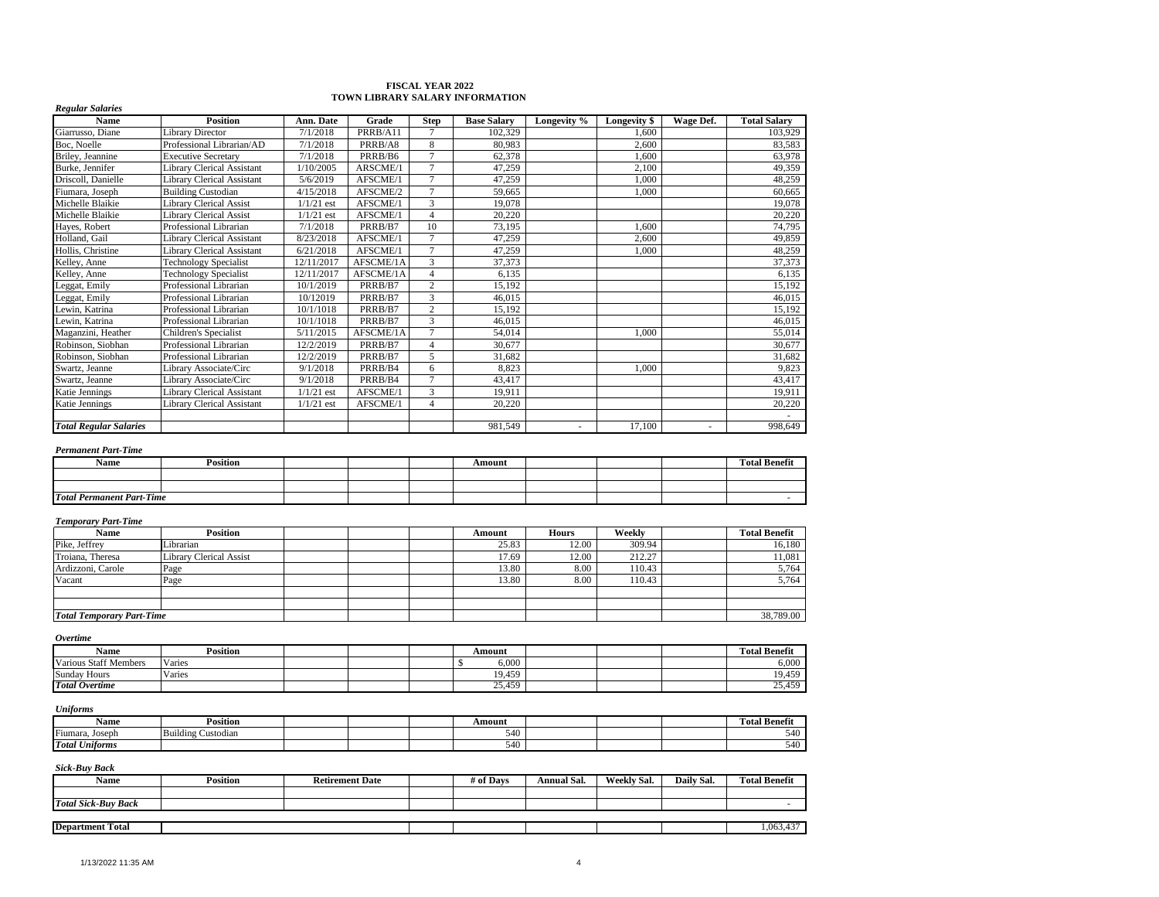#### **FISCAL YEAR 2022 TOWN LIBRARY SALARY INFORMATION**

| <b>Regular Salaries</b><br>Name  | <b>Position</b>                   | Ann. Date    | Grade     | <b>Step</b>    | <b>Base Salary</b> | Longevity %              | Longevity \$ | Wage Def. | <b>Total Salary</b>  |
|----------------------------------|-----------------------------------|--------------|-----------|----------------|--------------------|--------------------------|--------------|-----------|----------------------|
| Giarrusso, Diane                 | <b>Library Director</b>           | 7/1/2018     | PRRB/A11  | $\tau$         | 102.329            |                          | 1.600        |           | 103,929              |
| Boc. Noelle                      | Professional Librarian/AD         | 7/1/2018     | PRRB/A8   | 8              | 80.983             |                          | 2,600        |           | 83,583               |
| Briley, Jeannine                 | <b>Executive Secretary</b>        | 7/1/2018     | PRRB/B6   | $\overline{7}$ | 62,378             |                          | 1,600        |           | 63,978               |
| Burke, Jennifer                  | <b>Library Clerical Assistant</b> | 1/10/2005    | ARSCME/1  | $\tau$         | 47,259             |                          | 2,100        |           | 49,359               |
| Driscoll, Danielle               | <b>Library Clerical Assistant</b> | 5/6/2019     | AFSCME/1  | $\overline{7}$ | 47,259             |                          | 1.000        |           | 48,259               |
| Fiumara, Joseph                  | <b>Building Custodian</b>         | 4/15/2018    | AFSCME/2  | $\overline{7}$ | 59,665             |                          | 1,000        |           | 60,665               |
| Michelle Blaikie                 | <b>Library Clerical Assist</b>    | $1/1/21$ est | AFSCME/1  | 3              | 19,078             |                          |              |           | 19,078               |
| Michelle Blaikie                 | <b>Library Clerical Assist</b>    | $1/1/21$ est | AFSCME/1  | $\overline{4}$ | 20,220             |                          |              |           | 20,220               |
| Hayes, Robert                    | Professional Librarian            | 7/1/2018     | PRRB/B7   | 10             | 73,195             |                          | 1,600        |           | 74,795               |
| Holland, Gail                    | <b>Library Clerical Assistant</b> | 8/23/2018    | AFSCME/1  | $\overline{7}$ | 47,259             |                          | 2,600        |           | 49,859               |
| Hollis, Christine                | <b>Library Clerical Assistant</b> | 6/21/2018    | AFSCME/1  | $\overline{7}$ | 47,259             |                          | 1,000        |           | 48,259               |
| Kelley, Anne                     | <b>Technology Specialist</b>      | 12/11/2017   | AFSCME/1A | 3              | 37,373             |                          |              |           | 37,373               |
| Kelley, Anne                     | <b>Technology Specialist</b>      | 12/11/2017   | AFSCME/1A | $\overline{4}$ | 6,135              |                          |              |           | 6,135                |
| Leggat, Emily                    | Professional Librarian            | 10/1/2019    | PRRB/B7   | $\overline{2}$ | 15,192             |                          |              |           | 15,192               |
| Leggat, Emily                    | Professional Librarian            | 10/12019     | PRRB/B7   | 3              | 46,015             |                          |              |           | 46,015               |
| Lewin, Katrina                   | Professional Librarian            | 10/1/1018    | PRRB/B7   | $\overline{2}$ | 15,192             |                          |              |           | 15,192               |
| Lewin, Katrina                   | Professional Librarian            | 10/1/1018    | PRRB/B7   | 3              | 46.015             |                          |              |           | 46.015               |
| Maganzini, Heather               | Children's Specialist             | 5/11/2015    | AFSCME/1A | $\overline{7}$ | 54,014             |                          | 1.000        |           | 55.014               |
| Robinson, Siobhan                | Professional Librarian            | 12/2/2019    | PRRB/B7   | $\overline{4}$ | 30,677             |                          |              |           | 30,677               |
| Robinson, Siobhan                | Professional Librarian            | 12/2/2019    | PRRB/B7   | 5              | 31,682             |                          |              |           | 31,682               |
| Swartz, Jeanne                   | Library Associate/Circ            | 9/1/2018     | PRRB/B4   | 6              | 8,823              |                          | 1,000        |           | 9,823                |
| Swartz, Jeanne                   | Library Associate/Circ            | 9/1/2018     | PRRB/B4   | $\overline{7}$ | 43.417             |                          |              |           | 43.417               |
| <b>Katie Jennings</b>            | <b>Library Clerical Assistant</b> | $1/1/21$ est | AFSCME/1  | 3              | 19,911             |                          |              |           | 19,911               |
| <b>Katie Jennings</b>            | <b>Library Clerical Assistant</b> | $1/1/21$ est | AFSCME/1  | $\overline{4}$ | 20,220             |                          |              |           | 20,220               |
| <b>Total Regular Salaries</b>    |                                   |              |           |                | 981,549            | $\overline{\phantom{a}}$ | 17,100       | $\sim$    | 998.649              |
| <b>Permanent Part-Time</b>       |                                   |              |           |                |                    |                          |              |           |                      |
| <b>Name</b>                      | <b>Position</b>                   |              |           |                | Amount             |                          |              |           | <b>Total Benefit</b> |
|                                  |                                   |              |           |                |                    |                          |              |           |                      |
| <b>Total Permanent Part-Time</b> |                                   |              |           |                |                    |                          |              |           |                      |
| <b>Temporary Part-Time</b>       |                                   |              |           |                |                    |                          |              |           |                      |
| Name                             | <b>Position</b>                   |              |           |                | Amount             | <b>Hours</b>             | Weekly       |           | <b>Total Benefit</b> |
| Pike, Jeffrey                    | Librarian                         |              |           |                | 25.83              | 12.00                    | 309.94       |           | 16,180               |
| Troiana, Theresa                 | <b>Library Clerical Assist</b>    |              |           |                | 17.69              | 12.00                    | 212.27       |           | 11,081               |
| Ardizzoni, Carole                | Page                              |              |           |                | 13.80              | 8.00                     | 110.43       |           | 5,764                |
| Vacant                           | Page                              |              |           |                | 13.80              | 8.00                     | 110.43       |           | 5,764                |
|                                  |                                   |              |           |                |                    |                          |              |           |                      |

| <b>Overtime</b>              |          |  |        |  |                      |
|------------------------------|----------|--|--------|--|----------------------|
| Name                         | Position |  | Amount |  | <b>Total Benefit</b> |
| <b>Various Staff Members</b> | Varies   |  | 6,000  |  | 6,000                |
| <b>Sunday Hours</b>          | Varies   |  | 19,459 |  | 19,459               |
| <b>Total Overtime</b>        |          |  | 25,459 |  | 25,459               |

*Total Temporary Part-Time* 38,789.00

#### *Uniforms*

| Name                  | 'osition              |  | Amount       |  | otal          |
|-----------------------|-----------------------|--|--------------|--|---------------|
| Fiumara.<br>Joseph    | Building<br>∵ustodian |  | $-40$<br>540 |  | $\sim$<br>J40 |
| <b>Total Uniforms</b> |                       |  | .<br>.940    |  | $\sim$<br>J40 |

| Name                       | Position | <b>Retirement Date</b> | # of Davs | <b>Annual Sal.</b> | Weekly Sal. | Daily Sal. | <b>Total Benefit</b> |
|----------------------------|----------|------------------------|-----------|--------------------|-------------|------------|----------------------|
|                            |          |                        |           |                    |             |            |                      |
| <b>Total Sick-Buy Back</b> |          |                        |           |                    |             |            |                      |
|                            |          |                        |           |                    |             |            |                      |
| <b>Department Total</b>    |          |                        |           |                    |             |            | ,063,437             |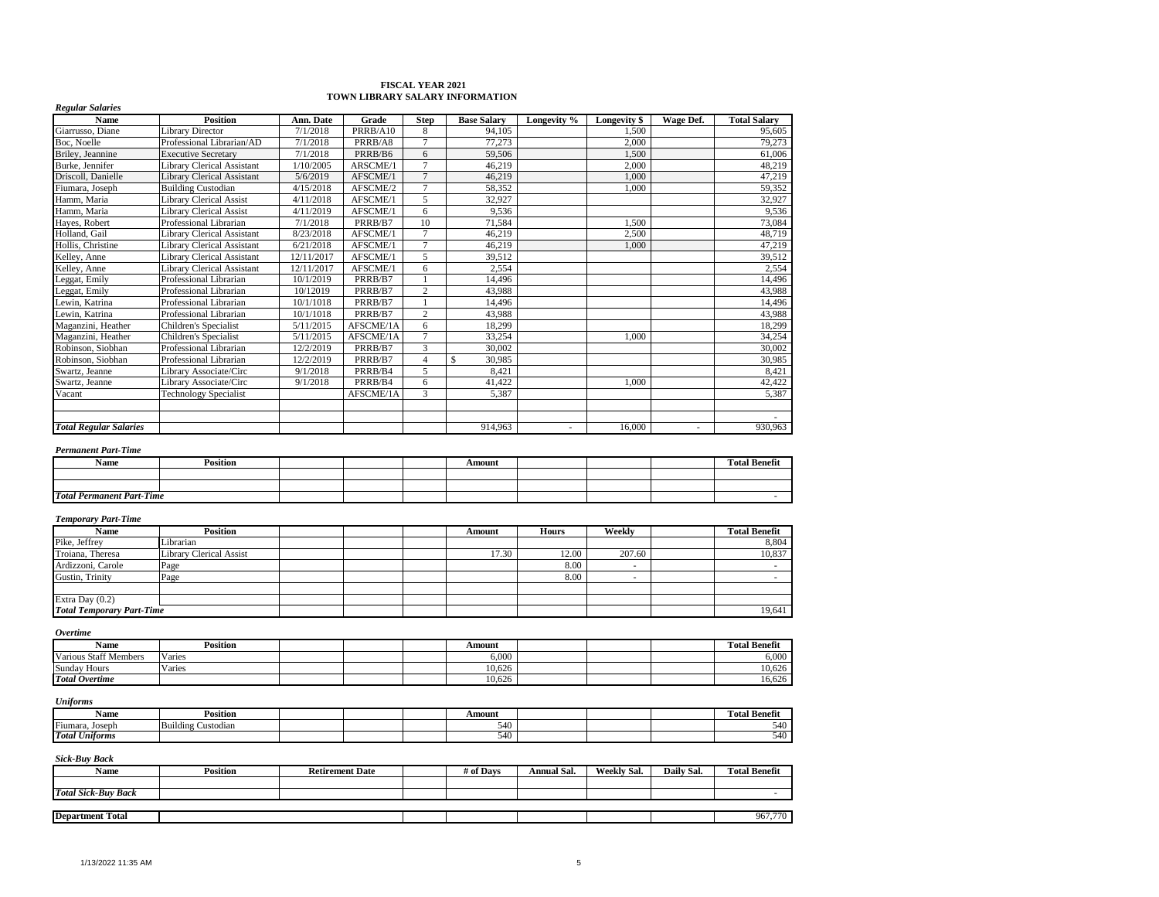# **FISCAL YEAR 2021 TOWN LIBRARY SALARY INFORMATION**

| Name               | <b>Position</b>                   | Ann. Date  | Grade     | <b>Step</b>    | <b>Base Salary</b> | Longevity % | Longevity \$ | Wage Def. | <b>Total Salary</b> |
|--------------------|-----------------------------------|------------|-----------|----------------|--------------------|-------------|--------------|-----------|---------------------|
| Giarrusso, Diane   | <b>Library Director</b>           | 7/1/2018   | PRRB/A10  | 8              | 94.105             |             | 1.500        |           | 95,605              |
| Boc. Noelle        | Professional Librarian/AD         | 7/1/2018   | PRRB/A8   | $\mathcal{I}$  | 77,273             |             | 2,000        |           | 79,273              |
| Briley, Jeannine   | <b>Executive Secretary</b>        | 7/1/2018   | PRRB/B6   | 6              | 59,506             |             | 1.500        |           | 61.006              |
| Burke, Jennifer    | <b>Library Clerical Assistant</b> | 1/10/2005  | ARSCME/1  | $\mathcal{I}$  | 46.219             |             | 2,000        |           | 48.219              |
| Driscoll, Danielle | <b>Library Clerical Assistant</b> | 5/6/2019   | AFSCME/1  | $\overline{7}$ | 46,219             |             | 1.000        |           | 47,219              |
| Fiumara, Joseph    | <b>Building Custodian</b>         | 4/15/2018  | AFSCME/2  | $\overline{7}$ | 58,352             |             | 1.000        |           | 59,352              |
| Hamm, Maria        | <b>Library Clerical Assist</b>    | 4/11/2018  | AFSCME/1  | 5              | 32,927             |             |              |           | 32,927              |
| Hamm, Maria        | <b>Library Clerical Assist</b>    | 4/11/2019  | AFSCME/1  | 6              | 9,536              |             |              |           | 9,536               |
| Haves, Robert      | Professional Librarian            | 7/1/2018   | PRRB/B7   | 10             | 71,584             |             | 1.500        |           | 73,084              |
| Holland, Gail      | <b>Library Clerical Assistant</b> | 8/23/2018  | AFSCME/1  | $\overline{7}$ | 46,219             |             | 2,500        |           | 48,719              |
| Hollis, Christine  | <b>Library Clerical Assistant</b> | 6/21/2018  | AFSCME/1  | $\overline{7}$ | 46,219             |             | 1,000        |           | 47,219              |
| Kelley, Anne       | <b>Library Clerical Assistant</b> | 12/11/2017 | AFSCME/1  | 5              | 39,512             |             |              |           | 39,512              |
| Kelley, Anne       | <b>Library Clerical Assistant</b> | 12/11/2017 | AFSCME/1  | 6              | 2,554              |             |              |           | 2,554               |
| Leggat, Emily      | Professional Librarian            | 10/1/2019  | PRRB/B7   |                | 14.496             |             |              |           | 14.496              |
| Leggat, Emily      | Professional Librarian            | 10/12019   | PRRB/B7   | $\overline{c}$ | 43,988             |             |              |           | 43,988              |
| Lewin, Katrina     | Professional Librarian            | 10/1/1018  | PRRB/B7   |                | 14,496             |             |              |           | 14,496              |
| Lewin, Katrina     | Professional Librarian            | 10/1/1018  | PRRB/B7   | $\overline{2}$ | 43,988             |             |              |           | 43,988              |
| Maganzini, Heather | Children's Specialist             | 5/11/2015  | AFSCME/1A | 6              | 18,299             |             |              |           | 18,299              |
| Maganzini, Heather | Children's Specialist             | 5/11/2015  | AFSCME/1A | $\overline{7}$ | 33,254             |             | 1,000        |           | 34,254              |
| Robinson, Siobhan  | Professional Librarian            | 12/2/2019  | PRRB/B7   | 3              | 30,002             |             |              |           | 30,002              |
| Robinson, Siobhan  | Professional Librarian            | 12/2/2019  | PRRB/B7   | $\overline{A}$ | \$.<br>30,985      |             |              |           | 30,985              |
| Swartz, Jeanne     | Library Associate/Circ            | 9/1/2018   | PRRB/B4   | 5              | 8,421              |             |              |           | 8,421               |
| Swartz, Jeanne     | Library Associate/Circ            | 9/1/2018   | PRRB/B4   | 6              | 41,422             |             | 1,000        |           | 42,422              |
| Vacant             | <b>Technology Specialist</b>      |            | AFSCME/1A | 3              | 5,387              |             |              |           | 5,387               |
|                    |                                   |            |           |                |                    |             |              |           |                     |
|                    |                                   |            |           |                | 914, 963           | ٠           | 16,000       |           | 930,963             |

| <b>Name</b>                      | Position |  |  |  | Amount |  |  |  | <b>Total Benefit</b> |  |  |
|----------------------------------|----------|--|--|--|--------|--|--|--|----------------------|--|--|
|                                  |          |  |  |  |        |  |  |  |                      |  |  |
|                                  |          |  |  |  |        |  |  |  |                      |  |  |
| <b>Total Permanent Part-Time</b> |          |  |  |  |        |  |  |  |                      |  |  |

#### *Temporary Part-Time*

*Regular Salaries*

| Name                             | <b>Position</b>         |  | Amount | <b>Hours</b> | Weekly | <b>Total Benefit</b> |
|----------------------------------|-------------------------|--|--------|--------------|--------|----------------------|
| Pike, Jeffrey                    | Librarian               |  |        |              |        | 8,804                |
| Troiana, Theresa                 | Library Clerical Assist |  | 17.30  | 12.00        | 207.60 | 10,837               |
| Ardizzoni, Carole                | Page                    |  |        | 8.00         |        |                      |
| Gustin, Trinity                  | Page                    |  |        | 8.00         |        |                      |
|                                  |                         |  |        |              |        |                      |
| Extra Day $(0.2)$                |                         |  |        |              |        |                      |
| <b>Total Temporary Part-Time</b> |                         |  |        |              |        | 19,641               |

#### *Overtime*

| Name                         | Position |  | Amount |  | <b>Total Benefit</b> |
|------------------------------|----------|--|--------|--|----------------------|
| <b>Various Staff Members</b> | Varies   |  | 6.000  |  | 6.000                |
| <b>Sunday Hours</b>          | Varies   |  | 10,626 |  | 10,626               |
| <b>Total Overtime</b>        |          |  | 10,626 |  | 16,626               |

#### *Uniforms*

| Name                          | <b>Position</b>               |  | Amount |  | <b>Fotal Benefit</b> |
|-------------------------------|-------------------------------|--|--------|--|----------------------|
| Fi<br>Joseph<br>ʻiumara       | <br>Building 0<br>r Custodian |  | 540    |  | 540                  |
| .<br>Total<br>. .<br>Unitorms |                               |  | 540    |  | 540                  |

| $-1$<br>Name               | Position | <b>Retirement Date</b> | # of Days | Annual Sal. | Weekly Sal. | Daily Sal. | <b>Total Benefit</b> |
|----------------------------|----------|------------------------|-----------|-------------|-------------|------------|----------------------|
|                            |          |                        |           |             |             |            |                      |
| <b>Total Sick-Buy Back</b> |          |                        |           |             |             |            |                      |
|                            |          |                        |           |             |             |            |                      |
| <b>Department Total</b>    |          |                        |           |             |             |            | 967,770              |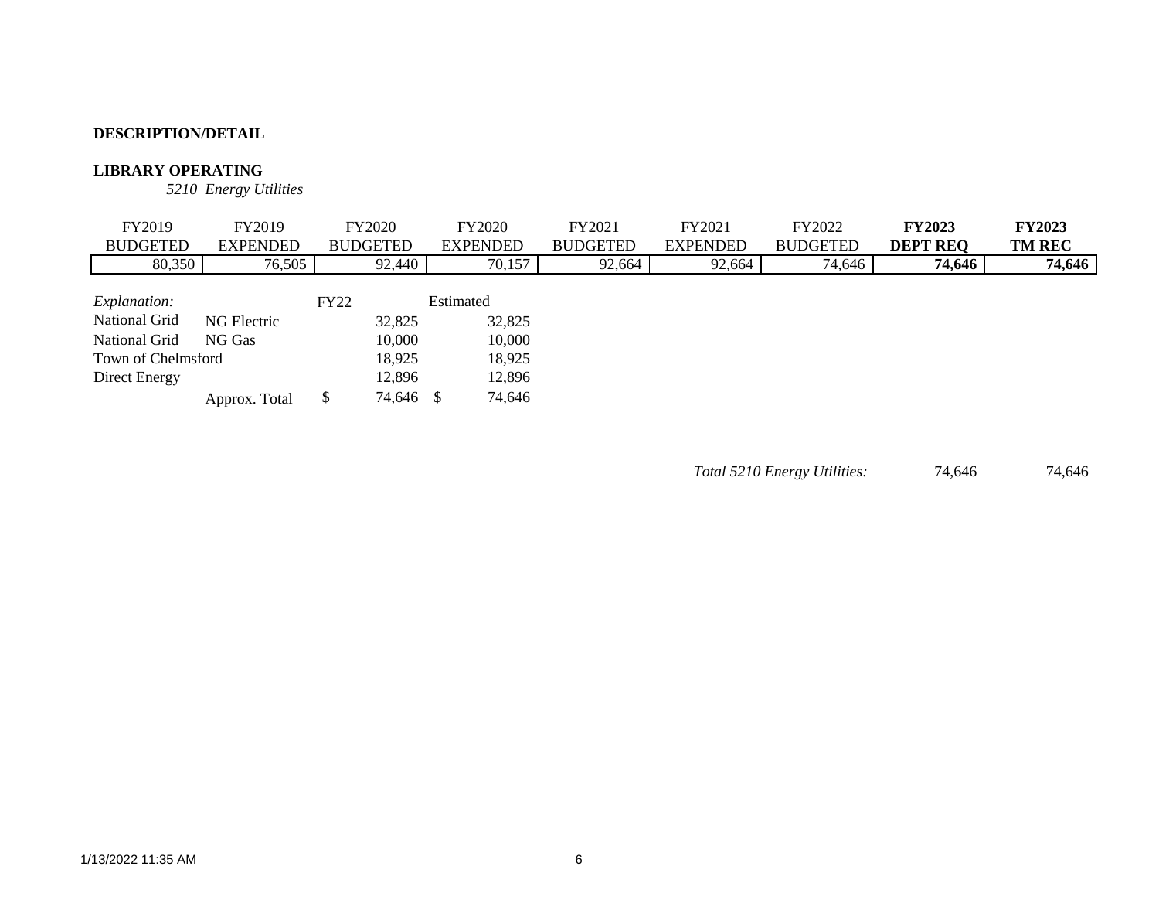### **LIBRARY OPERATING**

*5210 Energy Utilities*

| FY2019              | FY2019          | <b>FY2020</b>   | <b>FY2020</b>   | FY2021          | FY2021          | FY2022          | <b>FY2023</b>   | <b>FY2023</b> |
|---------------------|-----------------|-----------------|-----------------|-----------------|-----------------|-----------------|-----------------|---------------|
| <b>BUDGETED</b>     | <b>EXPENDED</b> | <b>BUDGETED</b> | <b>EXPENDED</b> | <b>BUDGETED</b> | <b>EXPENDED</b> | <b>BUDGETED</b> | <b>DEPT REQ</b> | <b>TM REC</b> |
| 80,350              | 76,505          | 92,440          | 70,157          | 92,664          | 92,664          | 74,646          | 74,646          | 74,646        |
|                     |                 |                 |                 |                 |                 |                 |                 |               |
| <i>Explanation:</i> |                 | <b>FY22</b>     | Estimated       |                 |                 |                 |                 |               |
| National Grid       | NG Electric     | 32,825          | 32,825          |                 |                 |                 |                 |               |
| National Grid       | NG Gas          | 10,000          | 10,000          |                 |                 |                 |                 |               |
| Town of Chelmsford  |                 | 18,925          | 18,925          |                 |                 |                 |                 |               |
| Direct Energy       |                 | 12,896          | 12,896          |                 |                 |                 |                 |               |
|                     | Approx. Total   | 74,646 \$<br>S  | 74,646          |                 |                 |                 |                 |               |

*Total 5210 Energy Utilities:* 74,646 74,646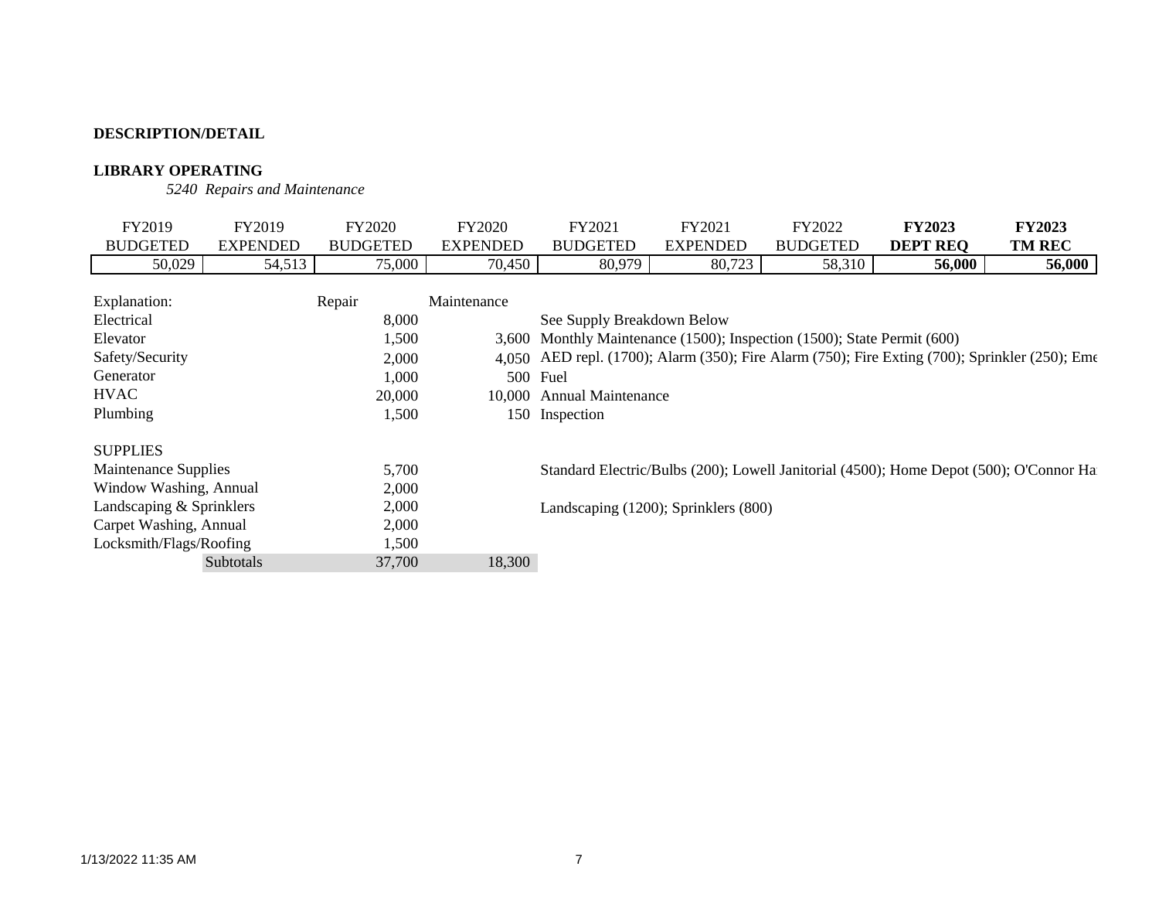### **LIBRARY OPERATING**

*5240 Repairs and Maintenance*

| FY2019                      | FY2019          | FY2020          | <b>FY2020</b>   | FY2021                                                            | FY2021          | FY2022          | <b>FY2023</b>                                                                                  | <b>FY2023</b> |
|-----------------------------|-----------------|-----------------|-----------------|-------------------------------------------------------------------|-----------------|-----------------|------------------------------------------------------------------------------------------------|---------------|
| <b>BUDGETED</b>             | <b>EXPENDED</b> | <b>BUDGETED</b> | <b>EXPENDED</b> | <b>BUDGETED</b>                                                   | <b>EXPENDED</b> | <b>BUDGETED</b> | <b>DEPT REQ</b>                                                                                | <b>TM REC</b> |
| 50,029                      | 54,513          | 75,000          | 70,450          | 80,979                                                            | 80,723          | 58,310          | 56,000                                                                                         | 56,000        |
|                             |                 |                 |                 |                                                                   |                 |                 |                                                                                                |               |
| Explanation:                |                 | Repair          | Maintenance     |                                                                   |                 |                 |                                                                                                |               |
| Electrical                  |                 | 8,000           |                 | See Supply Breakdown Below                                        |                 |                 |                                                                                                |               |
| Elevator                    |                 | 1,500           | 3,600           | Monthly Maintenance (1500); Inspection (1500); State Permit (600) |                 |                 |                                                                                                |               |
| Safety/Security             |                 | 2,000           |                 |                                                                   |                 |                 | 4,050 AED repl. (1700); Alarm (350); Fire Alarm (750); Fire Exting (700); Sprinkler (250); Eme |               |
| Generator                   |                 | 1,000           | 500             | Fuel                                                              |                 |                 |                                                                                                |               |
| <b>HVAC</b>                 |                 | 20,000          |                 | 10,000 Annual Maintenance                                         |                 |                 |                                                                                                |               |
| Plumbing                    |                 | 1,500           |                 | 150 Inspection                                                    |                 |                 |                                                                                                |               |
|                             |                 |                 |                 |                                                                   |                 |                 |                                                                                                |               |
| <b>SUPPLIES</b>             |                 |                 |                 |                                                                   |                 |                 |                                                                                                |               |
| <b>Maintenance Supplies</b> |                 | 5,700           |                 |                                                                   |                 |                 | Standard Electric/Bulbs (200); Lowell Janitorial (4500); Home Depot (500); O'Connor Ha         |               |
| Window Washing, Annual      |                 | 2,000           |                 |                                                                   |                 |                 |                                                                                                |               |
| Landscaping & Sprinklers    |                 | 2,000           |                 | Landscaping (1200); Sprinklers (800)                              |                 |                 |                                                                                                |               |
| Carpet Washing, Annual      |                 | 2,000           |                 |                                                                   |                 |                 |                                                                                                |               |
| Locksmith/Flags/Roofing     |                 | 1,500           |                 |                                                                   |                 |                 |                                                                                                |               |
|                             | Subtotals       | 37,700          | 18,300          |                                                                   |                 |                 |                                                                                                |               |
|                             |                 |                 |                 |                                                                   |                 |                 |                                                                                                |               |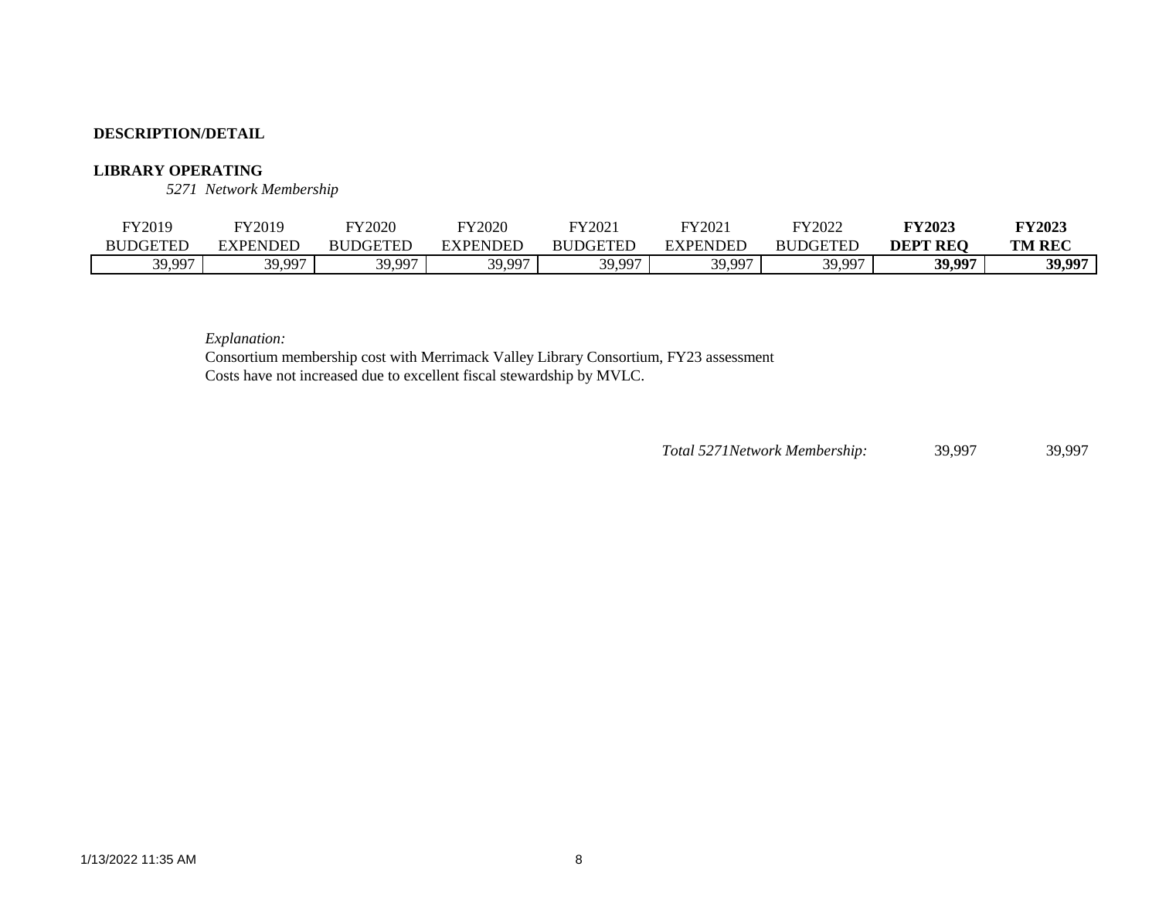#### **LIBRARY OPERATING**

*5271 Network Membership*

| FY2019          | FY2019   | FY2020          | <b>FY2020</b>      | FY2021          | FY2021   | FY2022          | <b>FY2023</b>   | <b>FY2023</b> |
|-----------------|----------|-----------------|--------------------|-----------------|----------|-----------------|-----------------|---------------|
| <b>BUDGETED</b> | EXPENDED | <b>BUDGETED</b> | NDEL<br>$\chi$ PF' | <b>RUDGETED</b> | EXPENDED | <b>BUDGETED</b> | <b>DEPT REO</b> | <b>TM REC</b> |
| 39,997          | 39.997   | 30.007          | 30.007             | 30.007          | 39.997   | 39.997          | 20 007          | 39,997        |

*Explanation:* 

Consortium membership cost with Merrimack Valley Library Consortium, FY23 assessment Costs have not increased due to excellent fiscal stewardship by MVLC.

*Total 5271Network Membership:* 39,997 39,997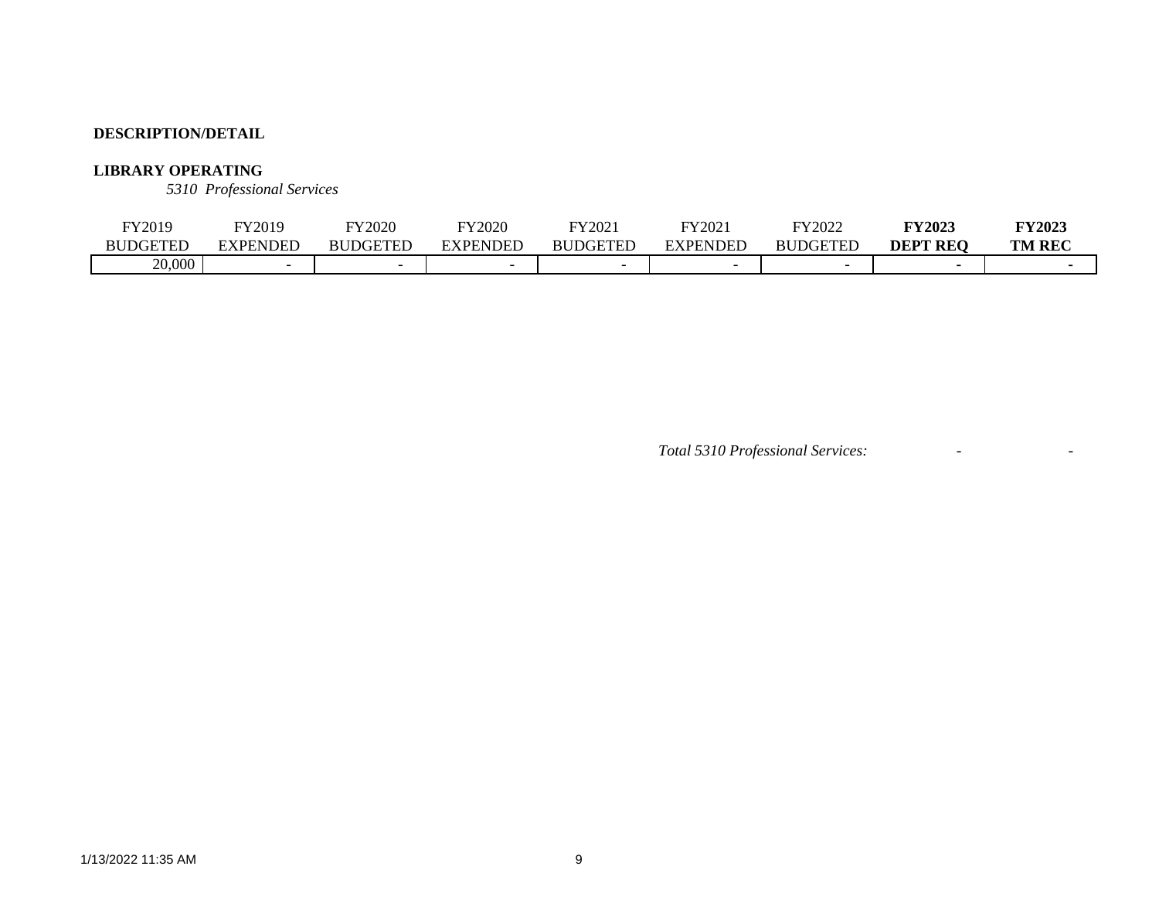### **LIBRARY OPERATING**

*5310 Professional Services*

| FY2019          | FY2019   | FY2020          | FY2020                   | FY2021          | FY2021          | FY2022          | <b>FY2023</b>   | FY2023        |
|-----------------|----------|-----------------|--------------------------|-----------------|-----------------|-----------------|-----------------|---------------|
| <b>BUDGETED</b> | EXPENDED | <b>BUDGETED</b> | EXPENDED                 | <b>BUDGETED</b> | <b>EXPENDED</b> | <b>BUDGETED</b> | <b>DEPT REO</b> | <b>TM REC</b> |
| 20,000          |          |                 | $\overline{\phantom{0}}$ |                 |                 |                 |                 |               |

*Total 5310 Professional Services:* - -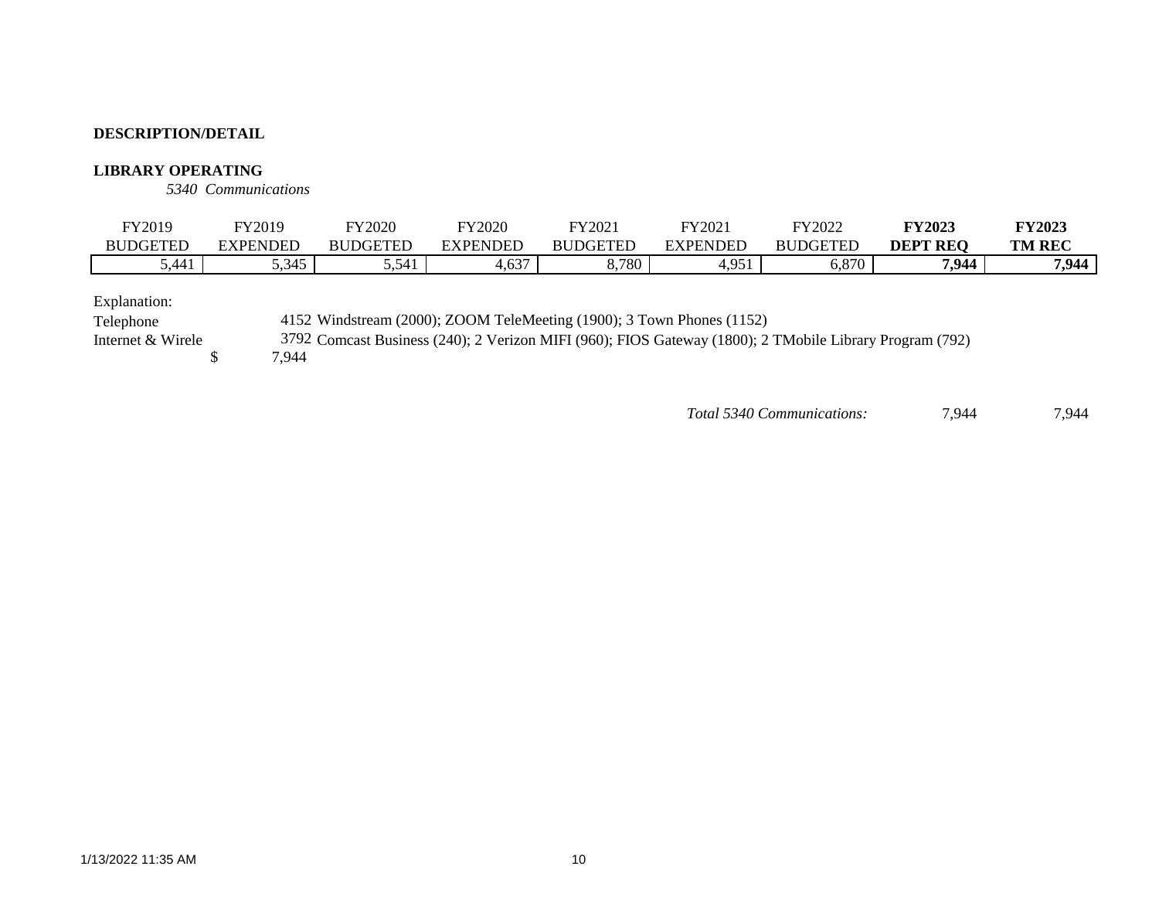#### **LIBRARY OPERATING**

*5340 Communications*

| FY2019          | FY2019               | <b>FY2020</b>   | FY2020         | FY2021          | FY2021       | FY2022          | <b>FY2023</b>   | <b>FY2023</b> |
|-----------------|----------------------|-----------------|----------------|-----------------|--------------|-----------------|-----------------|---------------|
| <b>BUDGETEL</b> | EXPENDED             | <b>BUDGETED</b> | EXPENDED       | <b>BUDGETED</b> | EXPENDED     | <b>BUDGETED</b> | <b>DEPT REQ</b> | <b>TM REC</b> |
| 5,441           | .215<br><u>J.JTJ</u> | 5,541           | $\sim$<br>T.VJ | 8,780           | 051<br>T.ノンエ | .070<br>0.07 U  | 7,944           | 7 QAA<br>・ノーー |

Explanation:

Telephone 4152 Windstream (2000); ZOOM TeleMeeting (1900); 3 Town Phones (1152)

Internet & Wirele 3792 Comcast Business (240); 2 Verizon MIFI (960); FIOS Gateway (1800); 2 TMobile Library Program (792)

7,944

*Total 5340 Communications:* 7,944 7,944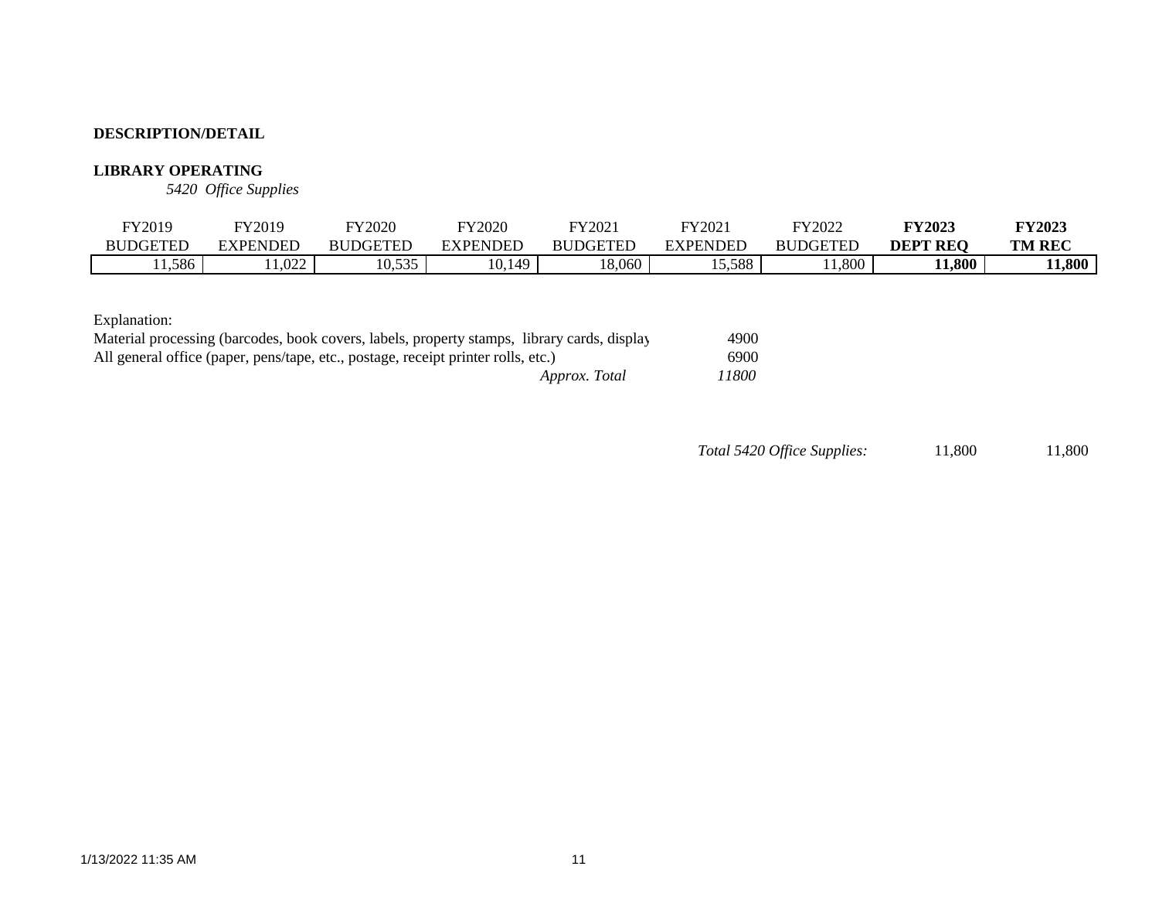### **LIBRARY OPERATING**

*5420 Office Supplies*

| FY2019          | FY2019            | <b>FY2020</b>                               | FY2020          | FY2021          | FY202    | FY2022          | <b>FY2023</b>   | <b>FY2023</b> |
|-----------------|-------------------|---------------------------------------------|-----------------|-----------------|----------|-----------------|-----------------|---------------|
| <b>BUDGETED</b> | <b>EXPENDED</b>   | <b>BUDGETEL</b>                             | <b>EXPENDED</b> | <b>BUDGETED</b> | EXPENDED | <b>BUDGETED</b> | <b>DEPT REO</b> | <b>TM REC</b> |
| 1,586           | $\Omega$<br>1.022 | 525<br>$\cdot$ $\sim$ $\cdot$<br>. v. j j j | 0.149           | 18,060          | 5,588    | 1,800           | 11,800          | 1,800         |

Explanation:

| Material processing (barcodes, book covers, labels, property stamps, library cards, display | 4900  |
|---------------------------------------------------------------------------------------------|-------|
| All general office (paper, pens/tape, etc., postage, receipt printer rolls, etc.)           | 6900  |
| Approx. Total                                                                               | 11800 |

*Total 5420 Office Supplies:* 11,800 11,800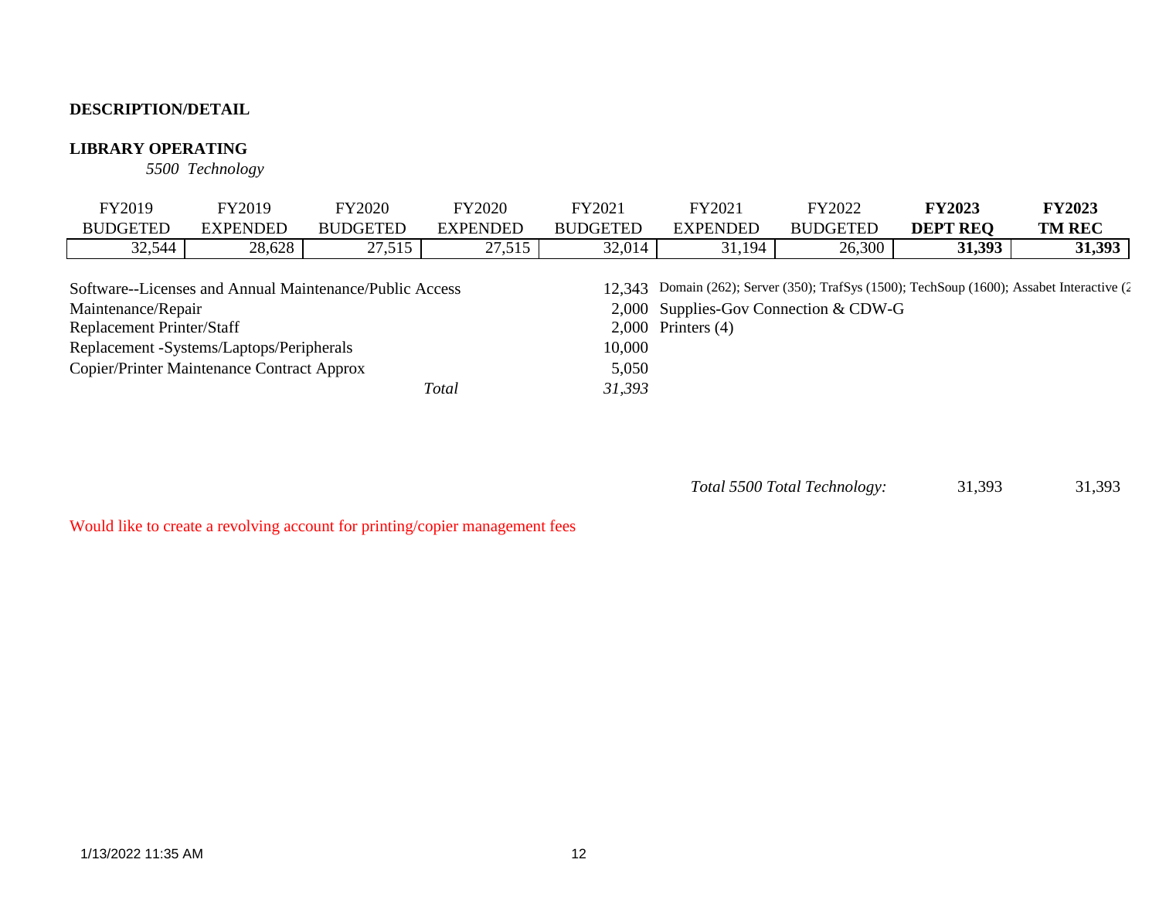### **LIBRARY OPERATING**

*5500 Technology*

| FY2019                                                  | FY2019          | <b>FY2020</b>   | <b>FY2020</b>   | FY2021          | FY2021                                | FY2022          | <b>FY2023</b>                                                                              | <b>FY2023</b> |
|---------------------------------------------------------|-----------------|-----------------|-----------------|-----------------|---------------------------------------|-----------------|--------------------------------------------------------------------------------------------|---------------|
| <b>BUDGETED</b>                                         | <b>EXPENDED</b> | <b>BUDGETED</b> | <b>EXPENDED</b> | <b>BUDGETED</b> | <b>EXPENDED</b>                       | <b>BUDGETED</b> | <b>DEPT REO</b>                                                                            | <b>TM REC</b> |
| 32,544                                                  | 28,628          | 27,515          | 27,515          | 32,014          | 31,194                                | 26,300          | 31,393                                                                                     | 31,393        |
|                                                         |                 |                 |                 |                 |                                       |                 |                                                                                            |               |
| Software--Licenses and Annual Maintenance/Public Access |                 |                 |                 |                 |                                       |                 | 12,343 Domain (262); Server (350); TrafSys (1500); TechSoup (1600); Assabet Interactive (2 |               |
| Maintenance/Repair                                      |                 |                 |                 |                 | 2,000 Supplies-Gov Connection & CDW-G |                 |                                                                                            |               |
| <b>Replacement Printer/Staff</b>                        |                 |                 |                 |                 | $2,000$ Printers $(4)$                |                 |                                                                                            |               |
| Replacement -Systems/Laptops/Peripherals                |                 |                 |                 | 10,000          |                                       |                 |                                                                                            |               |
| Copier/Printer Maintenance Contract Approx              |                 |                 |                 | 5,050           |                                       |                 |                                                                                            |               |
|                                                         |                 |                 | Total           | 31,393          |                                       |                 |                                                                                            |               |

 31,393 31,393 *Total 5500 Total Technology:*

Would like to create a revolving account for printing/copier management fees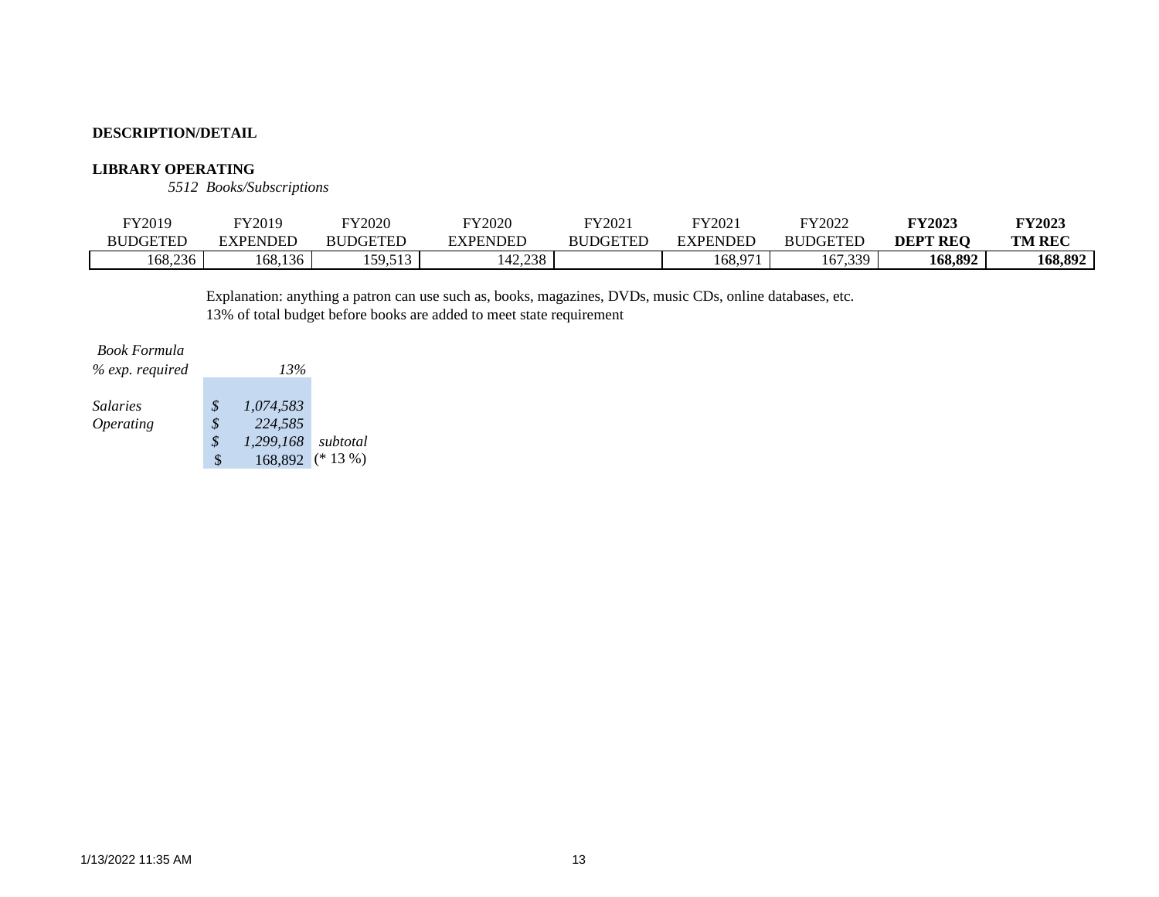#### **LIBRARY OPERATING**

*5512 Books/Subscriptions*

| FY2019          | FY2019   | FY2020                 | FY2020   | FY2021          | FY2021   | FY2022                         | <b>FY2023</b>   | <b>FY2023</b> |
|-----------------|----------|------------------------|----------|-----------------|----------|--------------------------------|-----------------|---------------|
| <b>BUDGETED</b> | EXPENDED | <b>BUDGETED</b>        | EXPENDED | <b>BUDGETED</b> | EXPENDED | <b>BUDGETED</b>                | <b>DEPT REO</b> | <b>TM REC</b> |
| 168,236         | 168,136  | 50512<br>1 J J 4 J 1 J | 142,238  |                 | :68.971  | 67<br>1330<br>2 U L<br>. پ پ ا | 168,892         | 168,892       |

Explanation: anything a patron can use such as, books, magazines, DVDs, music CDs, online databases, etc. 13% of total budget before books are added to meet state requirement

#### *Book Formula*

| $\%$ exp. required      | 13%             |            |
|-------------------------|-----------------|------------|
| <i>Salaries</i>         | \$<br>1.074.583 |            |
| <i><b>Operating</b></i> | \$<br>224,585   |            |
|                         | \$<br>1.299.168 | subtotal   |
|                         | \$<br>168,892   | $(* 13\%)$ |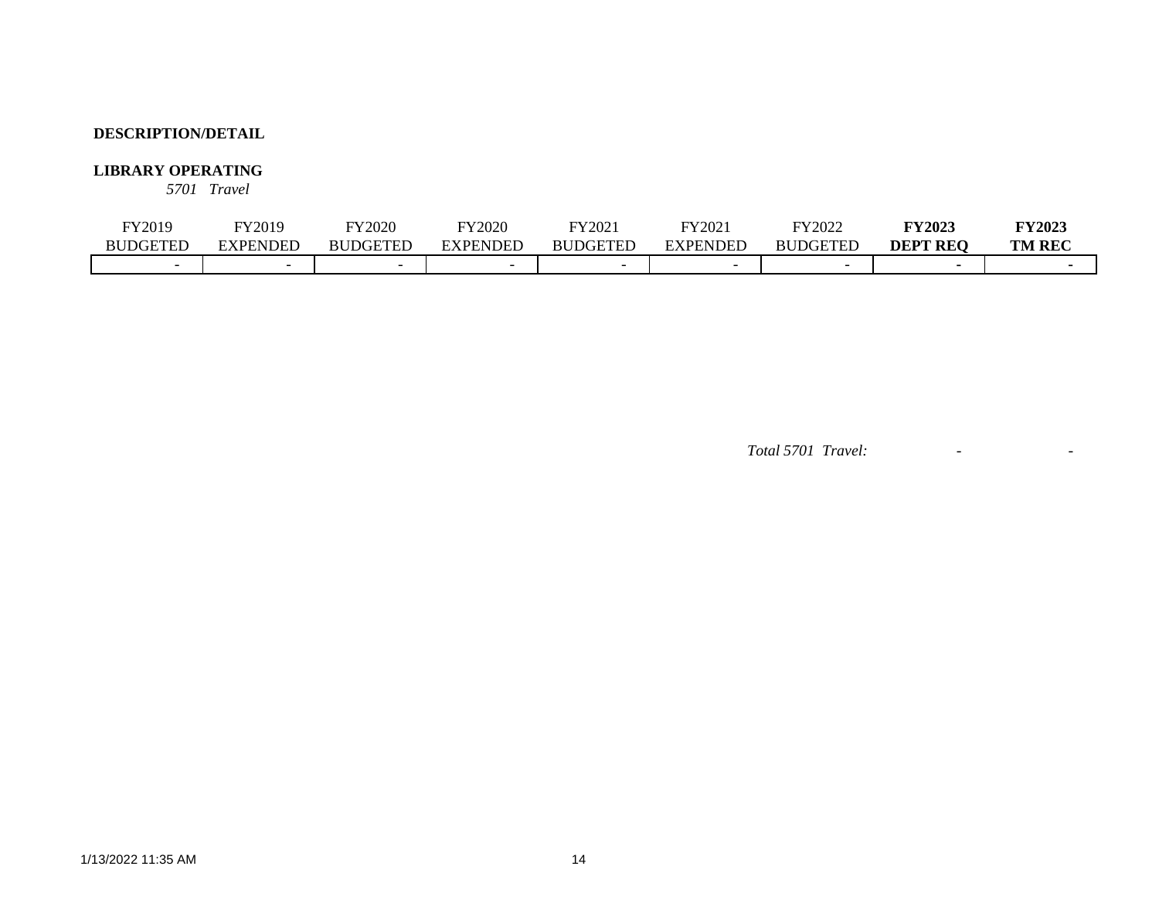### **LIBRARY OPERATING**

*5701 Travel*

| <sup>-</sup> Y2019 | <sup>-</sup> Y2019 | FY2020          | FY2020                   | FY2021          | FY2021          | FY2022                 | <b>FY2023</b>   | <b>FY2023</b> |
|--------------------|--------------------|-----------------|--------------------------|-----------------|-----------------|------------------------|-----------------|---------------|
| <b>BUDGETED</b>    | EXPENDED           | <b>BUDGETED</b> | EXPENDED                 | <b>BUDGETED</b> | <b>EXPENDED</b> | DGETED<br>$_{\rm BUL}$ | <b>DEPT REO</b> | <b>TM REC</b> |
|                    |                    |                 | $\overline{\phantom{0}}$ |                 |                 |                        |                 |               |

*Total 5701 Travel:* - -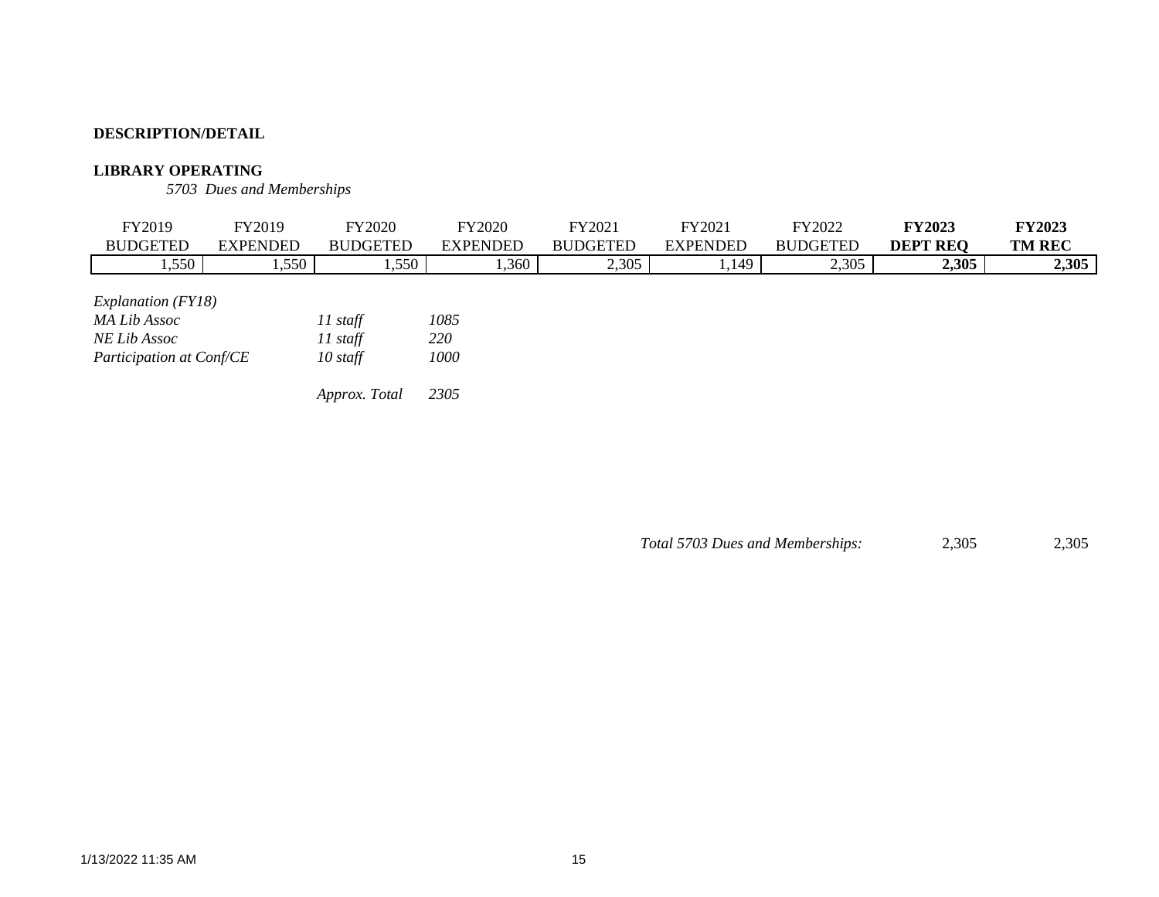### **LIBRARY OPERATING**

*5703 Dues and Memberships*

| FY2019                                                                                         | FY2019          |       | <b>FY2020</b>                                           |                             | <b>FY2020</b>   | FY2021          | FY2021          | FY2022          | <b>FY2023</b>   | <b>FY2023</b> |
|------------------------------------------------------------------------------------------------|-----------------|-------|---------------------------------------------------------|-----------------------------|-----------------|-----------------|-----------------|-----------------|-----------------|---------------|
| <b>BUDGETED</b>                                                                                | <b>EXPENDED</b> |       | <b>BUDGETED</b>                                         |                             | <b>EXPENDED</b> | <b>BUDGETED</b> | <b>EXPENDED</b> | <b>BUDGETED</b> | <b>DEPT REQ</b> | <b>TM REC</b> |
| 1,550                                                                                          |                 | 1,550 |                                                         | 1,550                       | 1,360           | 2,305           | 1,149           | 2,305           | 2,305           | 2,305         |
| <i>Explanation</i> ( <i>FY18</i> )<br>MA Lib Assoc<br>NE Lib Assoc<br>Participation at Conf/CE |                 |       | $11$ staff<br>$11$ staff<br>$10$ staff<br>Approx. Total | 1085<br>220<br>1000<br>2305 |                 |                 |                 |                 |                 |               |

*Total 5703 Dues and Memberships:* 2,305 2,305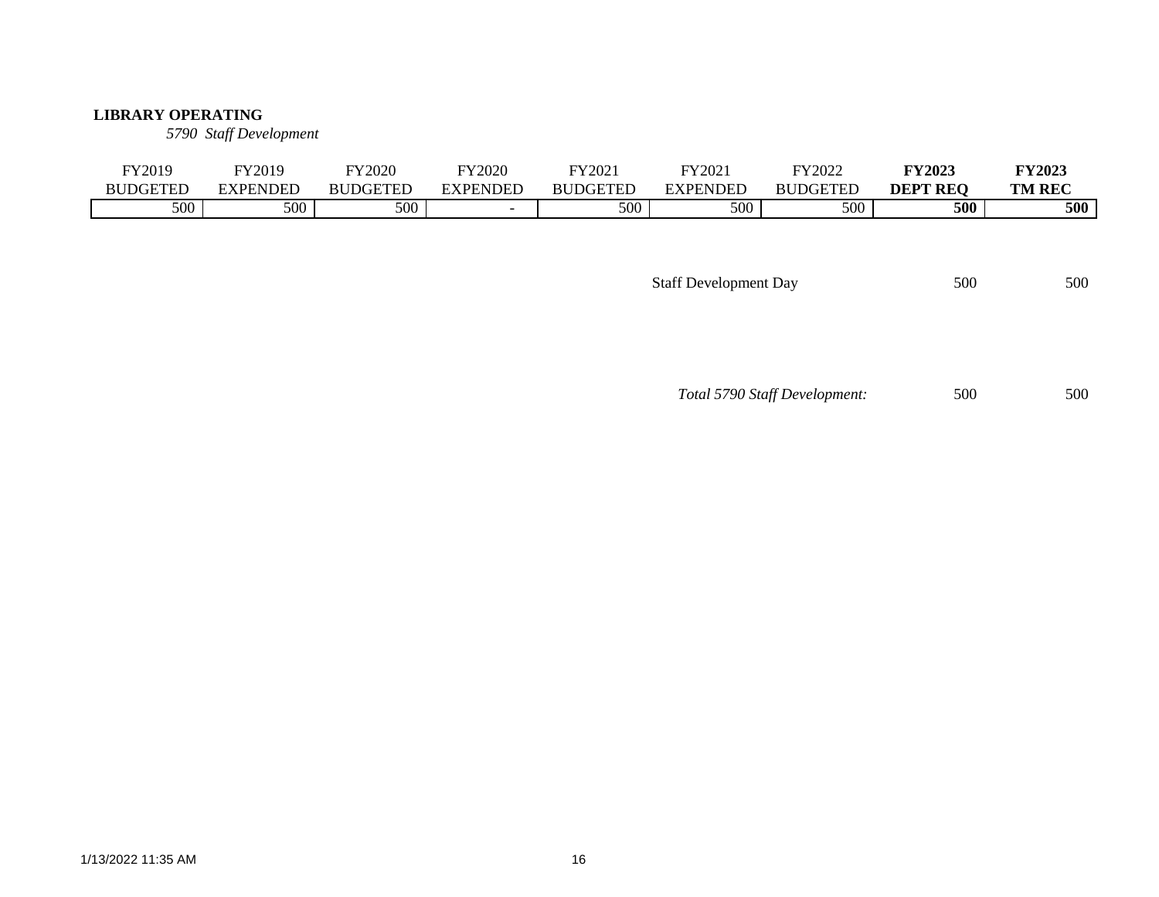#### **LIBRARY OPERATING**

*5790 Staff Development*

| FY2019          | FY2019   | FY2020          | <b>FY2020</b> | FY2021          | FY2021          | FY2022          | <b>FY2023</b>   | <b>FY2023</b> |
|-----------------|----------|-----------------|---------------|-----------------|-----------------|-----------------|-----------------|---------------|
| <b>BUDGETED</b> | EXPENDED | <b>BUDGETED</b> | EXPENDED      | <b>BUDGETED</b> | <b>EXPENDED</b> | <b>BUDGETED</b> | <b>DEPT REO</b> | <b>TM REC</b> |
| 500             | 500      | 500             |               | 500             | 500             | 500             | 500             | 500           |

Staff Development Day 500 500 500

*Total 5790 Staff Development:* 500 500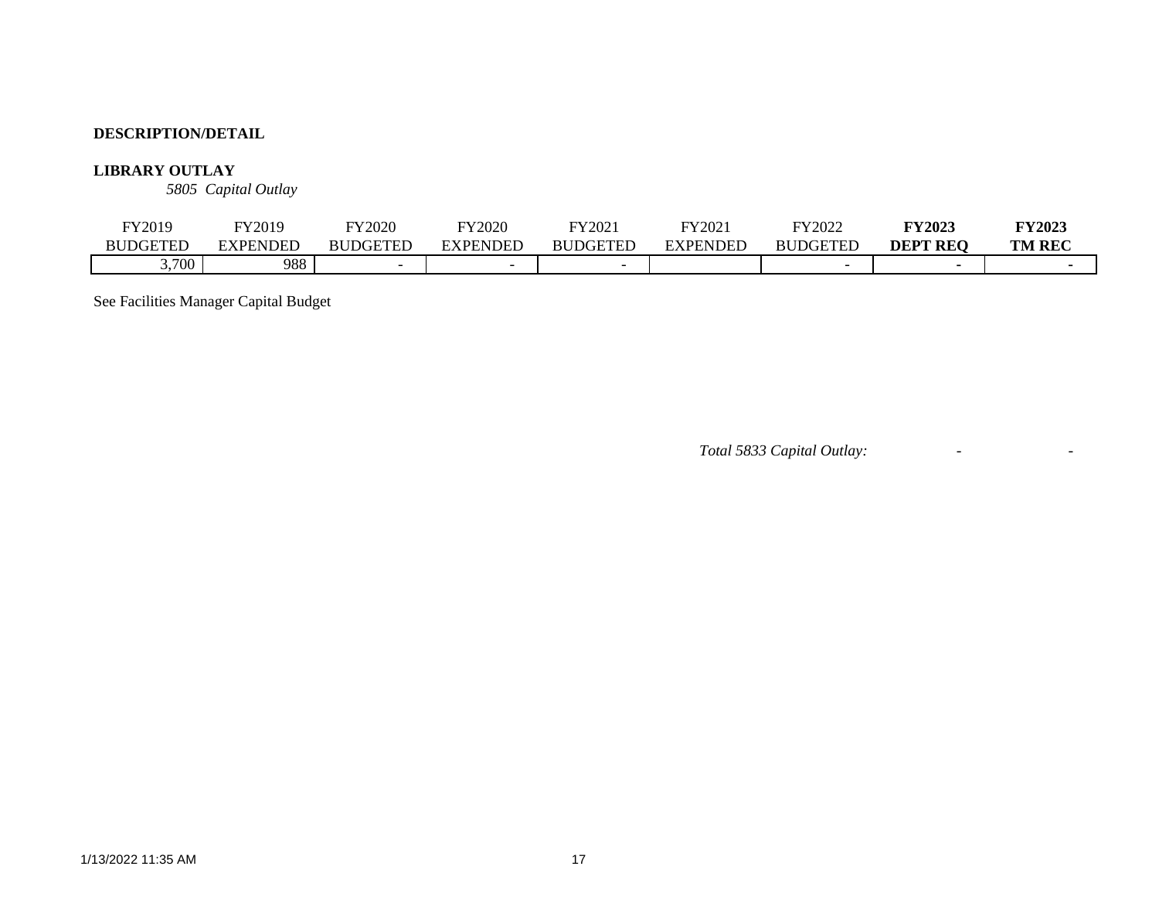### **LIBRARY OUTLAY**

*5805 Capital Outlay*

| FY2019          | FY2019          | <b>FY2020</b>   | <b>FY2020</b> | Y2021           | $\text{Y}2021$ | FY2022          | <b>FY2023</b>      | <b>FY2023</b> |
|-----------------|-----------------|-----------------|---------------|-----------------|----------------|-----------------|--------------------|---------------|
| <b>BUDGETED</b> | <b>EXPENDED</b> | <b>BUDGETEI</b> | EXPENDED      | <b>BUDGETED</b> | EXPENDED       | <b>BUDGETED</b> | <b>REO</b><br>DEPT | <b>TM REC</b> |
| ,700            | 988             |                 |               |                 |                |                 |                    |               |

See Facilities Manager Capital Budget

*Total 5833 Capital Outlay:* - -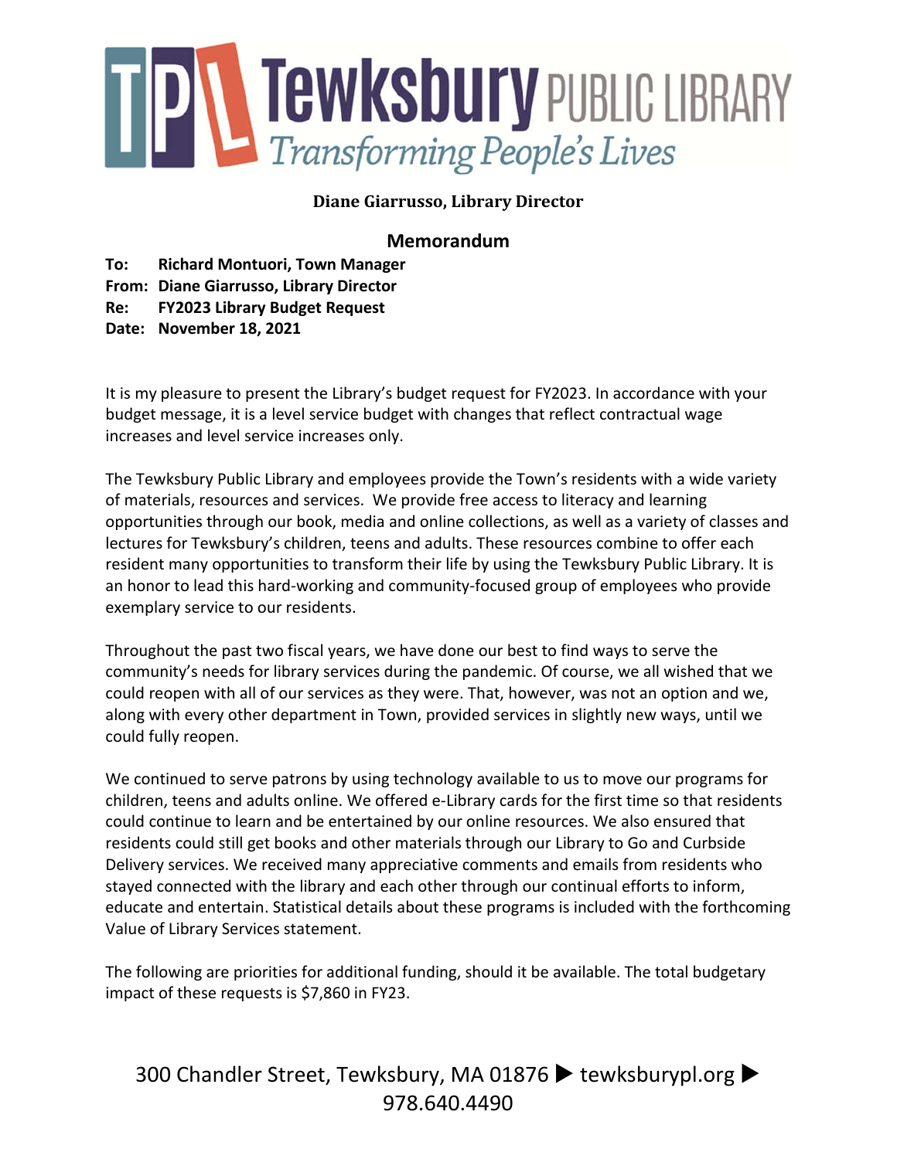

# **Diane Giarrusso, Library Director**

# **Memorandum**

**To: Richard Montuori, Town Manager**

**From: Diane Giarrusso, Library Director Re: FY2023 Library Budget Request**

**Date: November 18, 2021**

It is my pleasure to present the Library's budget request for FY2023. In accordance with your budget message, it is a level service budget with changes that reflect contractual wage increases and level service increases only.

The Tewksbury Public Library and employees provide the Town's residents with a wide variety of materials, resources and services. We provide free access to literacy and learning opportunities through our book, media and online collections, as well as a variety of classes and lectures for Tewksbury's children, teens and adults. These resources combine to offer each resident many opportunities to transform their life by using the Tewksbury Public Library. It is an honor to lead this hard-working and community-focused group of employees who provide exemplary service to our residents.

Throughout the past two fiscal years, we have done our best to find ways to serve the community's needs for library services during the pandemic. Of course, we all wished that we could reopen with all of our services as they were. That, however, was not an option and we, along with every other department in Town, provided services in slightly new ways, until we could fully reopen.

We continued to serve patrons by using technology available to us to move our programs for children, teens and adults online. We offered e-Library cards for the first time so that residents could continue to learn and be entertained by our online resources. We also ensured that residents could still get books and other materials through our Library to Go and Curbside Delivery services. We received many appreciative comments and emails from residents who stayed connected with the library and each other through our continual efforts to inform, educate and entertain. Statistical details about these programs is included with the forthcoming Value of Library Services statement.

The following are priorities for additional funding, should it be available. The total budgetary impact of these requests is \$7,860 in FY23.

300 Chandler Street, Tewksbury, MA 01876 > tewksburypl.org > 978.640.4490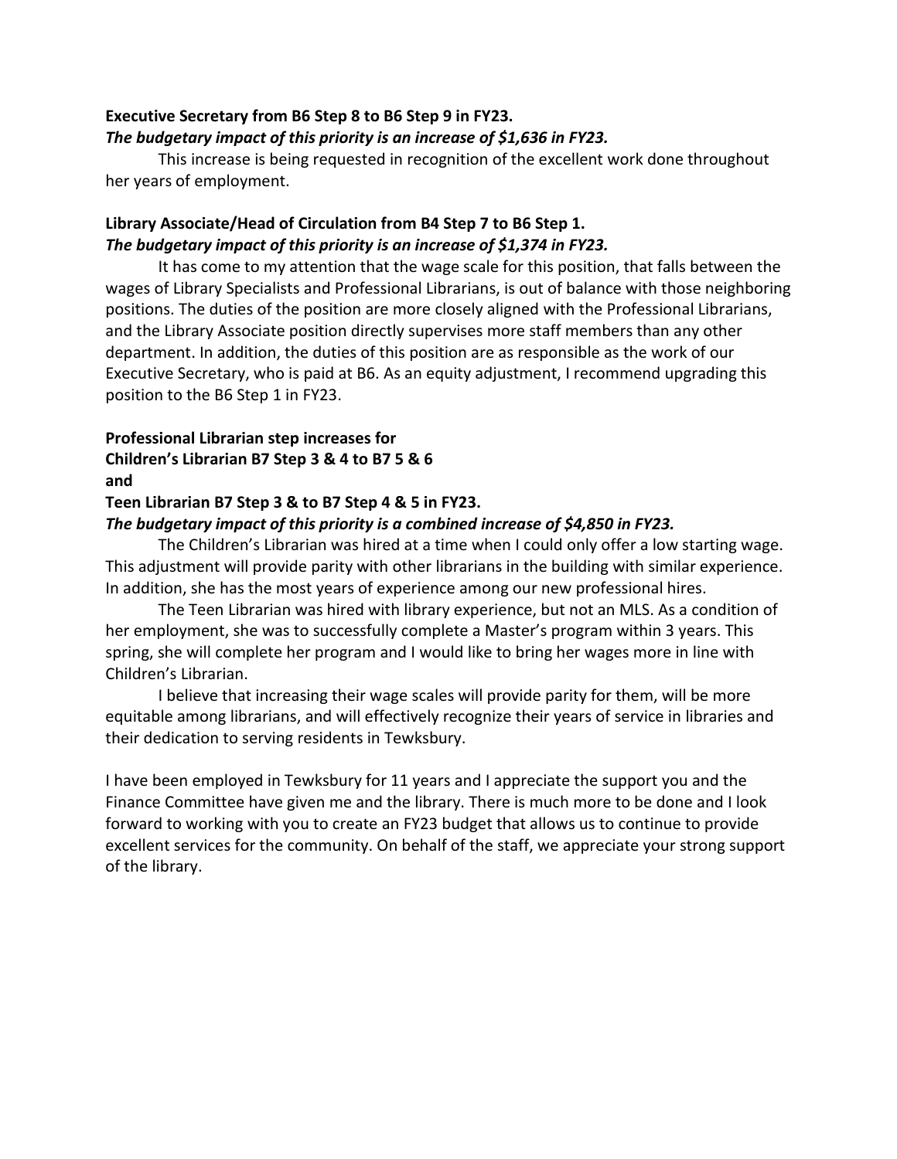#### **Executive Secretary from B6 Step 8 to B6 Step 9 in FY23.** *The budgetary impact of this priority is an increase of \$1,636 in FY23.*

This increase is being requested in recognition of the excellent work done throughout her years of employment.

# **Library Associate/Head of Circulation from B4 Step 7 to B6 Step 1.** *The budgetary impact of this priority is an increase of \$1,374 in FY23.*

It has come to my attention that the wage scale for this position, that falls between the wages of Library Specialists and Professional Librarians, is out of balance with those neighboring positions. The duties of the position are more closely aligned with the Professional Librarians, and the Library Associate position directly supervises more staff members than any other department. In addition, the duties of this position are as responsible as the work of our Executive Secretary, who is paid at B6. As an equity adjustment, I recommend upgrading this position to the B6 Step 1 in FY23.

## **Professional Librarian step increases for Children's Librarian B7 Step 3 & 4 to B7 5 & 6 and**

## **Teen Librarian B7 Step 3 & to B7 Step 4 & 5 in FY23.**

### *The budgetary impact of this priority is a combined increase of \$4,850 in FY23.*

The Children's Librarian was hired at a time when I could only offer a low starting wage. This adjustment will provide parity with other librarians in the building with similar experience. In addition, she has the most years of experience among our new professional hires.

The Teen Librarian was hired with library experience, but not an MLS. As a condition of her employment, she was to successfully complete a Master's program within 3 years. This spring, she will complete her program and I would like to bring her wages more in line with Children's Librarian.

I believe that increasing their wage scales will provide parity for them, will be more equitable among librarians, and will effectively recognize their years of service in libraries and their dedication to serving residents in Tewksbury.

I have been employed in Tewksbury for 11 years and I appreciate the support you and the Finance Committee have given me and the library. There is much more to be done and I look forward to working with you to create an FY23 budget that allows us to continue to provide excellent services for the community. On behalf of the staff, we appreciate your strong support of the library.